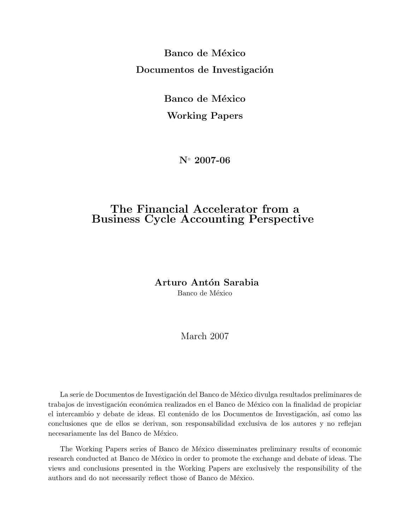Banco de México Documentos de Investigación

> Banco de México Working Papers

> > N◦ 2007-06

## The Financial Accelerator from a Business Cycle Accounting Perspective

Arturo Antón Sarabia

Banco de México

### March 2007

La serie de Documentos de Investigación del Banco de México divulga resultados preliminares de trabajos de investigación económica realizados en el Banco de México con la finalidad de propiciar el intercambio y debate de ideas. El contenido de los Documentos de Investigación, así como las conclusiones que de ellos se derivan, son responsabilidad exclusiva de los autores y no reflejan necesariamente las del Banco de México.

The Working Papers series of Banco de México disseminates preliminary results of economic research conducted at Banco de México in order to promote the exchange and debate of ideas. The views and conclusions presented in the Working Papers are exclusively the responsibility of the authors and do not necessarily reflect those of Banco de México.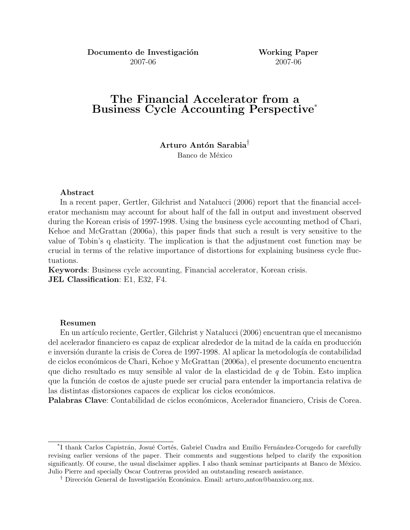Documento de Investigación Working Paper 2007-06 2007-06

## The Financial Accelerator from a Business Cycle Accounting Perspective\*

Arturo Antón Sarabia<sup>†</sup> Banco de México

#### Abstract

In a recent paper, Gertler, Gilchrist and Natalucci (2006) report that the financial accelerator mechanism may account for about half of the fall in output and investment observed during the Korean crisis of 1997-1998. Using the business cycle accounting method of Chari, Kehoe and McGrattan (2006a), this paper finds that such a result is very sensitive to the value of Tobin's q elasticity. The implication is that the adjustment cost function may be crucial in terms of the relative importance of distortions for explaining business cycle fluctuations.

Keywords: Business cycle accounting, Financial accelerator, Korean crisis. JEL Classification: E1, E32, F4.

#### Resumen

En un artículo reciente, Gertler, Gilchrist y Natalucci (2006) encuentran que el mecanismo del acelerador financiero es capaz de explicar alrededor de la mitad de la caída en producción e inversión durante la crisis de Corea de 1997-1998. Al aplicar la metodología de contabilidad de ciclos econ´omicos de Chari, Kehoe y McGrattan (2006a), el presente documento encuentra que dicho resultado es muy sensible al valor de la elasticidad de  $q$  de Tobin. Esto implica que la función de costos de ajuste puede ser crucial para entender la importancia relativa de las distintas distorsiones capaces de explicar los ciclos económicos.

Palabras Clave: Contabilidad de ciclos económicos, Acelerador financiero, Crisis de Corea.

<sup>&</sup>lt;sup>\*</sup>I thank Carlos Capistrán, Josué Cortés, Gabriel Cuadra and Emilio Fernández-Corugedo for carefully revising earlier versions of the paper. Their comments and suggestions helped to clarify the exposition significantly. Of course, the usual disclaimer applies. I also thank seminar participants at Banco de México. Julio Pierre and specially Oscar Contreras provided an outstanding research assistance.

<sup>&</sup>lt;sup>†</sup> Dirección General de Investigación Económica. Email: arturo anton@banxico.org.mx.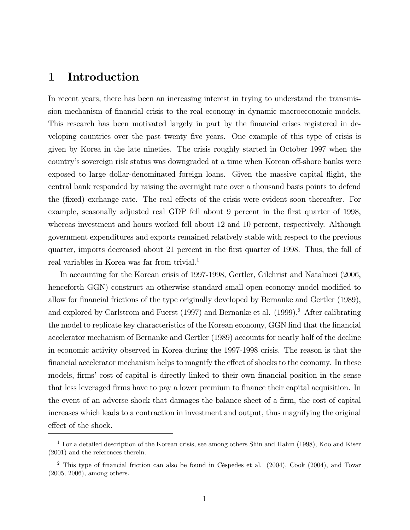## 1 Introduction

In recent years, there has been an increasing interest in trying to understand the transmission mechanism of financial crisis to the real economy in dynamic macroeconomic models. This research has been motivated largely in part by the financial crises registered in developing countries over the past twenty Öve years. One example of this type of crisis is given by Korea in the late nineties. The crisis roughly started in October 1997 when the country's sovereign risk status was downgraded at a time when Korean off-shore banks were exposed to large dollar-denominated foreign loans. Given the massive capital áight, the central bank responded by raising the overnight rate over a thousand basis points to defend the (fixed) exchange rate. The real effects of the crisis were evident soon thereafter. For example, seasonally adjusted real GDP fell about 9 percent in the first quarter of 1998, whereas investment and hours worked fell about 12 and 10 percent, respectively. Although government expenditures and exports remained relatively stable with respect to the previous quarter, imports decreased about 21 percent in the first quarter of 1998. Thus, the fall of real variables in Korea was far from trivial.<sup>1</sup>

In accounting for the Korean crisis of 1997-1998, Gertler, Gilchrist and Natalucci (2006, henceforth GGN) construct an otherwise standard small open economy model modified to allow for Önancial frictions of the type originally developed by Bernanke and Gertler (1989), and explored by Carlstrom and Fuerst (1997) and Bernanke et al. (1999).<sup>2</sup> After calibrating the model to replicate key characteristics of the Korean economy, GGN find that the financial accelerator mechanism of Bernanke and Gertler (1989) accounts for nearly half of the decline in economic activity observed in Korea during the 1997-1998 crisis. The reason is that the financial accelerator mechanism helps to magnify the effect of shocks to the economy. In these models, firms' cost of capital is directly linked to their own financial position in the sense that less leveraged firms have to pay a lower premium to finance their capital acquisition. In the event of an adverse shock that damages the balance sheet of a firm, the cost of capital increases which leads to a contraction in investment and output, thus magnifying the original effect of the shock.

<sup>&</sup>lt;sup>1</sup> For a detailed description of the Korean crisis, see among others Shin and Hahm (1998), Koo and Kiser (2001) and the references therein.

<sup>&</sup>lt;sup>2</sup> This type of financial friction can also be found in Céspedes et al.  $(2004)$ , Cook  $(2004)$ , and Tovar (2005, 2006), among others.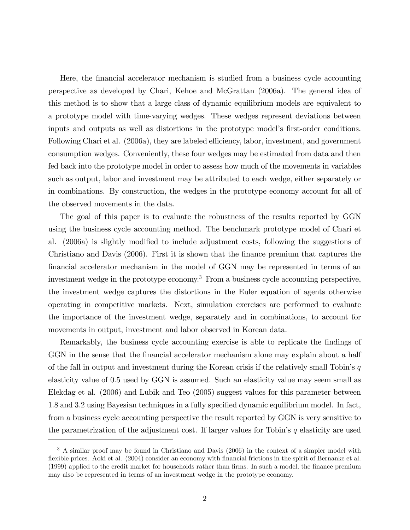Here, the Önancial accelerator mechanism is studied from a business cycle accounting perspective as developed by Chari, Kehoe and McGrattan (2006a). The general idea of this method is to show that a large class of dynamic equilibrium models are equivalent to a prototype model with time-varying wedges. These wedges represent deviations between inputs and outputs as well as distortions in the prototype model's first-order conditions. Following Chari et al. (2006a), they are labeled efficiency, labor, investment, and government consumption wedges. Conveniently, these four wedges may be estimated from data and then fed back into the prototype model in order to assess how much of the movements in variables such as output, labor and investment may be attributed to each wedge, either separately or in combinations. By construction, the wedges in the prototype economy account for all of the observed movements in the data.

The goal of this paper is to evaluate the robustness of the results reported by GGN using the business cycle accounting method. The benchmark prototype model of Chari et al. (2006a) is slightly modified to include adjustment costs, following the suggestions of Christiano and Davis (2006). First it is shown that the Önance premium that captures the Önancial accelerator mechanism in the model of GGN may be represented in terms of an investment wedge in the prototype economy.<sup>3</sup> From a business cycle accounting perspective, the investment wedge captures the distortions in the Euler equation of agents otherwise operating in competitive markets. Next, simulation exercises are performed to evaluate the importance of the investment wedge, separately and in combinations, to account for movements in output, investment and labor observed in Korean data.

Remarkably, the business cycle accounting exercise is able to replicate the findings of GGN in the sense that the financial accelerator mechanism alone may explain about a half of the fall in output and investment during the Korean crisis if the relatively small Tobin's  $q$ elasticity value of 0.5 used by GGN is assumed. Such an elasticity value may seem small as Elekdag et al. (2006) and Lubik and Teo (2005) suggest values for this parameter between 1.8 and 3.2 using Bayesian techniques in a fully specified dynamic equilibrium model. In fact, from a business cycle accounting perspective the result reported by GGN is very sensitive to the parametrization of the adjustment cost. If larger values for Tobin's  $q$  elasticity are used

<sup>&</sup>lt;sup>3</sup> A similar proof may be found in Christiano and Davis (2006) in the context of a simpler model with flexible prices. Aoki et al. (2004) consider an economy with financial frictions in the spirit of Bernanke et al. (1999) applied to the credit market for households rather than firms. In such a model, the finance premium may also be represented in terms of an investment wedge in the prototype economy.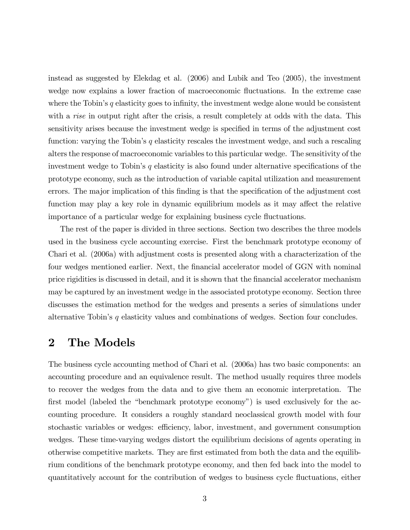instead as suggested by Elekdag et al. (2006) and Lubik and Teo (2005), the investment wedge now explains a lower fraction of macroeconomic fluctuations. In the extreme case where the Tobin's q elasticity goes to infinity, the investment wedge alone would be consistent with a *rise* in output right after the crisis, a result completely at odds with the data. This sensitivity arises because the investment wedge is specified in terms of the adjustment cost function: varying the Tobin's  $q$  elasticity rescales the investment wedge, and such a rescaling alters the response of macroeconomic variables to this particular wedge. The sensitivity of the investment wedge to Tobin's  $q$  elasticity is also found under alternative specifications of the prototype economy, such as the introduction of variable capital utilization and measurement errors. The major implication of this finding is that the specification of the adjustment cost function may play a key role in dynamic equilibrium models as it may affect the relative importance of a particular wedge for explaining business cycle fluctuations.

The rest of the paper is divided in three sections. Section two describes the three models used in the business cycle accounting exercise. First the benchmark prototype economy of Chari et al. (2006a) with adjustment costs is presented along with a characterization of the four wedges mentioned earlier. Next, the financial accelerator model of GGN with nominal price rigidities is discussed in detail, and it is shown that the Önancial accelerator mechanism may be captured by an investment wedge in the associated prototype economy. Section three discusses the estimation method for the wedges and presents a series of simulations under alternative Tobin's  $q$  elasticity values and combinations of wedges. Section four concludes.

## 2 The Models

The business cycle accounting method of Chari et al. (2006a) has two basic components: an accounting procedure and an equivalence result. The method usually requires three models to recover the wedges from the data and to give them an economic interpretation. The first model (labeled the "benchmark prototype economy") is used exclusively for the accounting procedure. It considers a roughly standard neoclassical growth model with four stochastic variables or wedges: efficiency, labor, investment, and government consumption wedges. These time-varying wedges distort the equilibrium decisions of agents operating in otherwise competitive markets. They are first estimated from both the data and the equilibrium conditions of the benchmark prototype economy, and then fed back into the model to quantitatively account for the contribution of wedges to business cycle áuctuations, either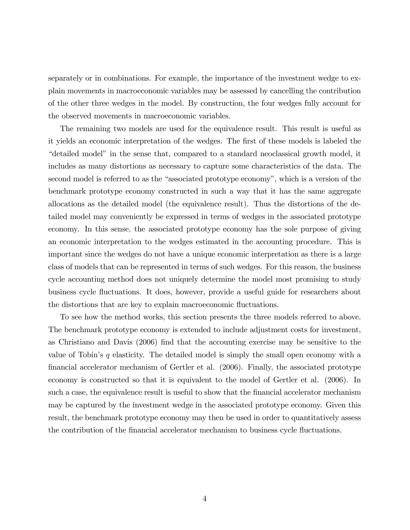separately or in combinations. For example, the importance of the investment wedge to explain movements in macroeconomic variables may be assessed by cancelling the contribution of the other three wedges in the model. By construction, the four wedges fully account for the observed movements in macroeconomic variables.

The remaining two models are used for the equivalence result. This result is useful as it yields an economic interpretation of the wedges. The first of these models is labeled the ìdetailed modelî in the sense that, compared to a standard neoclassical growth model, it includes as many distortions as necessary to capture some characteristics of the data. The second model is referred to as the "associated prototype economy", which is a version of the benchmark prototype economy constructed in such a way that it has the same aggregate allocations as the detailed model (the equivalence result). Thus the distortions of the detailed model may conveniently be expressed in terms of wedges in the associated prototype economy. In this sense, the associated prototype economy has the sole purpose of giving an economic interpretation to the wedges estimated in the accounting procedure. This is important since the wedges do not have a unique economic interpretation as there is a large class of models that can be represented in terms of such wedges. For this reason, the business cycle accounting method does not uniquely determine the model most promising to study business cycle fluctuations. It does, however, provide a useful guide for researchers about the distortions that are key to explain macroeconomic fluctuations.

To see how the method works, this section presents the three models referred to above. The benchmark prototype economy is extended to include adjustment costs for investment, as Christiano and Davis (2006) Önd that the accounting exercise may be sensitive to the value of Tobin's  $q$  elasticity. The detailed model is simply the small open economy with a Önancial accelerator mechanism of Gertler et al. (2006). Finally, the associated prototype economy is constructed so that it is equivalent to the model of Gertler et al. (2006). In such a case, the equivalence result is useful to show that the financial accelerator mechanism may be captured by the investment wedge in the associated prototype economy. Given this result, the benchmark prototype economy may then be used in order to quantitatively assess the contribution of the financial accelerator mechanism to business cycle fluctuations.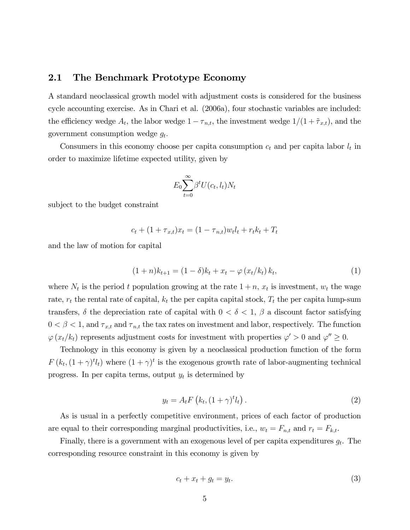### 2.1 The Benchmark Prototype Economy

A standard neoclassical growth model with adjustment costs is considered for the business cycle accounting exercise. As in Chari et al. (2006a), four stochastic variables are included: the efficiency wedge  $A_t$ , the labor wedge  $1 - \tau_{n,t}$ , the investment wedge  $1/(1 + \tilde{\tau}_{x,t})$ , and the government consumption wedge  $g_t$ .

Consumers in this economy choose per capita consumption  $c_t$  and per capita labor  $l_t$  in order to maximize lifetime expected utility, given by

$$
E_0 \sum_{t=0}^{\infty} \beta^t U(c_t, l_t) N_t
$$

subject to the budget constraint

$$
c_t + (1 + \tau_{x,t})x_t = (1 - \tau_{n,t})w_t l_t + r_t k_t + T_t
$$

and the law of motion for capital

$$
(1+n)k_{t+1} = (1-\delta)k_t + x_t - \varphi(x_t/k_t) k_t,
$$
\n(1)

where  $N_t$  is the period t population growing at the rate  $1 + n$ ,  $x_t$  is investment,  $w_t$  the wage rate,  $r_t$  the rental rate of capital,  $k_t$  the per capita capital stock,  $T_t$  the per capita lump-sum transfers,  $\delta$  the depreciation rate of capital with  $0 < \delta < 1$ ,  $\beta$  a discount factor satisfying  $0 < \beta < 1$ , and  $\tau_{x,t}$  and  $\tau_{n,t}$  the tax rates on investment and labor, respectively. The function  $\varphi(x_t/k_t)$  represents adjustment costs for investment with properties  $\varphi' > 0$  and  $\varphi'' \ge 0$ .

Technology in this economy is given by a neoclassical production function of the form  $F(k_t, (1+\gamma)^t l_t)$  where  $(1+\gamma)^t$  is the exogenous growth rate of labor-augmenting technical progress. In per capita terms, output  $y_t$  is determined by

$$
y_t = A_t F\left(k_t, (1+\gamma)^t l_t\right). \tag{2}
$$

As is usual in a perfectly competitive environment, prices of each factor of production are equal to their corresponding marginal productivities, i.e.,  $w_t = F_{n,t}$  and  $r_t = F_{k,t}$ .

Finally, there is a government with an exogenous level of per capita expenditures  $g_t$ . The corresponding resource constraint in this economy is given by

$$
c_t + x_t + g_t = y_t. \tag{3}
$$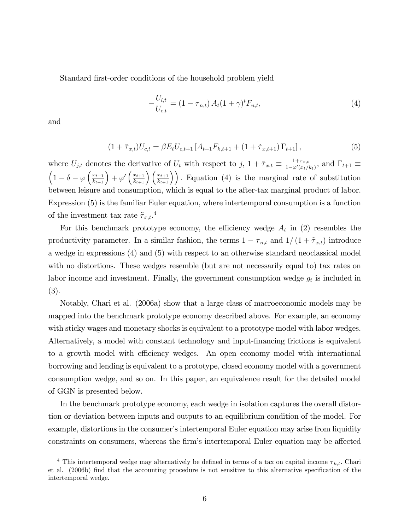Standard first-order conditions of the household problem yield

$$
-\frac{U_{l,t}}{U_{c,t}} = (1 - \tau_{n,t}) A_t (1 + \gamma)^t F_{n,t},
$$
\n(4)

and

$$
(1 + \tilde{\tau}_{x,t})U_{c,t} = \beta E_t U_{c,t+1} \left[ A_{t+1} F_{k,t+1} + (1 + \tilde{\tau}_{x,t+1}) \Gamma_{t+1} \right],
$$
\n(5)

where  $U_{j,t}$  denotes the derivative of  $U_t$  with respect to  $j, 1 + \tilde{\tau}_{x,t} \equiv \frac{1+\tau_{x,t}}{1-\varphi'(x_t)}$  $\frac{1+\tau_{x,t}}{1-\varphi'(x_t/k_t)},$  and  $\Gamma_{t+1} \equiv$  $\left(1-\delta-\varphi\left(\frac{x_{t+1}}{k_{t+1}}\right)+\varphi'\left(\frac{x_{t+1}}{k_{t+1}}\right)\left(\frac{x_{t+1}}{k_{t+1}}\right)\right)$ . Equation (4) is the marginal rate of substitution between leisure and consumption, which is equal to the after-tax marginal product of labor. Expression (5) is the familiar Euler equation, where intertemporal consumption is a function of the investment tax rate  $\tilde{\tau}_{x,t}.^4$ 

For this benchmark prototype economy, the efficiency wedge  $A_t$  in (2) resembles the productivity parameter. In a similar fashion, the terms  $1 - \tau_{n,t}$  and  $1/(1 + \tilde{\tau}_{x,t})$  introduce a wedge in expressions (4) and (5) with respect to an otherwise standard neoclassical model with no distortions. These wedges resemble (but are not necessarily equal to) tax rates on labor income and investment. Finally, the government consumption wedge  $g_t$  is included in (3).

Notably, Chari et al. (2006a) show that a large class of macroeconomic models may be mapped into the benchmark prototype economy described above. For example, an economy with sticky wages and monetary shocks is equivalent to a prototype model with labor wedges. Alternatively, a model with constant technology and input-financing frictions is equivalent to a growth model with efficiency wedges. An open economy model with international borrowing and lending is equivalent to a prototype, closed economy model with a government consumption wedge, and so on. In this paper, an equivalence result for the detailed model of GGN is presented below.

In the benchmark prototype economy, each wedge in isolation captures the overall distortion or deviation between inputs and outputs to an equilibrium condition of the model. For example, distortions in the consumer's intertemporal Euler equation may arise from liquidity constraints on consumers, whereas the firm's intertemporal Euler equation may be affected

<sup>&</sup>lt;sup>4</sup> This intertemporal wedge may alternatively be defined in terms of a tax on capital income  $\tau_{k,t}$ . Chari et al. (2006b) find that the accounting procedure is not sensitive to this alternative specification of the intertemporal wedge.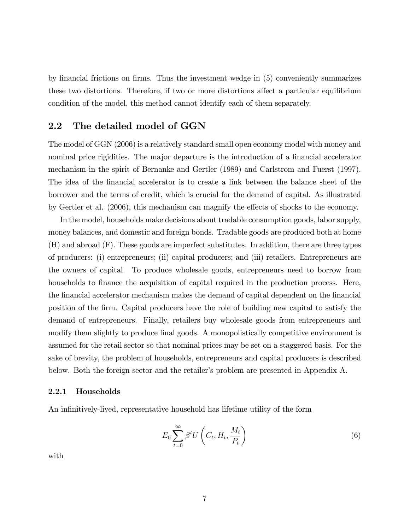by financial frictions on firms. Thus the investment wedge in (5) conveniently summarizes these two distortions. Therefore, if two or more distortions affect a particular equilibrium condition of the model, this method cannot identify each of them separately.

### 2.2 The detailed model of GGN

The model of GGN (2006) is a relatively standard small open economy model with money and nominal price rigidities. The major departure is the introduction of a financial accelerator mechanism in the spirit of Bernanke and Gertler (1989) and Carlstrom and Fuerst (1997). The idea of the financial accelerator is to create a link between the balance sheet of the borrower and the terms of credit, which is crucial for the demand of capital. As illustrated by Gertler et al. (2006), this mechanism can magnify the effects of shocks to the economy.

In the model, households make decisions about tradable consumption goods, labor supply, money balances, and domestic and foreign bonds. Tradable goods are produced both at home (H) and abroad (F). These goods are imperfect substitutes. In addition, there are three types of producers: (i) entrepreneurs; (ii) capital producers; and (iii) retailers. Entrepreneurs are the owners of capital. To produce wholesale goods, entrepreneurs need to borrow from households to finance the acquisition of capital required in the production process. Here, the financial accelerator mechanism makes the demand of capital dependent on the financial position of the Örm. Capital producers have the role of building new capital to satisfy the demand of entrepreneurs. Finally, retailers buy wholesale goods from entrepreneurs and modify them slightly to produce final goods. A monopolistically competitive environment is assumed for the retail sector so that nominal prices may be set on a staggered basis. For the sake of brevity, the problem of households, entrepreneurs and capital producers is described below. Both the foreign sector and the retailer's problem are presented in Appendix A.

#### 2.2.1 Households

An infinitively-lived, representative household has lifetime utility of the form

$$
E_0 \sum_{t=0}^{\infty} \beta^t U\left(C_t, H_t, \frac{M_t}{P_t}\right) \tag{6}
$$

with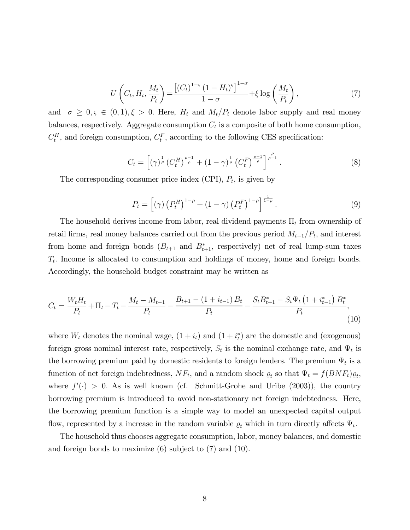$$
U\left(C_t, H_t, \frac{M_t}{P_t}\right) = \frac{\left[(C_t)^{1-\varsigma} (1 - H_t)^{\varsigma}\right]^{1-\sigma}}{1-\sigma} + \xi \log\left(\frac{M_t}{P_t}\right),\tag{7}
$$

and  $\sigma \geq 0, \varsigma \in (0,1), \xi > 0$ . Here,  $H_t$  and  $M_t/P_t$  denote labor supply and real money balances, respectively. Aggregate consumption  $C_t$  is a composite of both home consumption,  $C_t^H$ , and foreign consumption,  $C_t^F$ , according to the following CES specification:

$$
C_t = \left[ (\gamma)^{\frac{1}{\rho}} \left( C_t^H \right)^{\frac{\rho - 1}{\rho}} + (1 - \gamma)^{\frac{1}{\rho}} \left( C_t^F \right)^{\frac{\rho - 1}{\rho}} \right]^{\frac{\rho}{\rho - 1}}.
$$
 (8)

The corresponding consumer price index (CPI),  $P_t$ , is given by

$$
P_t = [(\gamma) (P_t^H)^{1-\rho} + (1-\gamma) (P_t^F)^{1-\rho}]^{\frac{1}{1-\rho}}.
$$
\n(9)

The household derives income from labor, real dividend payments  $\Pi_t$  from ownership of retail firms, real money balances carried out from the previous period  $M_{t-1}/P_t$ , and interest from home and foreign bonds  $(B_{t+1}$  and  $B_{t+1}^*$ , respectively) net of real lump-sum taxes  $T_t$ . Income is allocated to consumption and holdings of money, home and foreign bonds. Accordingly, the household budget constraint may be written as

$$
C_{t} = \frac{W_{t}H_{t}}{P_{t}} + \Pi_{t} - T_{t} - \frac{M_{t} - M_{t-1}}{P_{t}} - \frac{B_{t+1} - (1 + i_{t-1})B_{t}}{P_{t}} - \frac{S_{t}B_{t+1}^{*} - S_{t}\Psi_{t}\left(1 + i_{t-1}^{*}\right)B_{t}^{*}}{P_{t}},
$$
\n
$$
(10)
$$

where  $W_t$  denotes the nominal wage,  $(1 + i_t)$  and  $(1 + i_t^*)$  are the domestic and (exogenous) foreign gross nominal interest rate, respectively,  $S_t$  is the nominal exchange rate, and  $\Psi_t$  is the borrowing premium paid by domestic residents to foreign lenders. The premium  $\Psi_t$  is a function of net foreign indebtedness,  $NF_t$ , and a random shock  $\rho_t$  so that  $\Psi_t = f(BNF_t)\rho_t$ , where  $f'(\cdot) > 0$ . As is well known (cf. Schmitt-Grohe and Uribe (2003)), the country borrowing premium is introduced to avoid non-stationary net foreign indebtedness. Here, the borrowing premium function is a simple way to model an unexpected capital output flow, represented by a increase in the random variable  $\rho_t$  which in turn directly affects  $\Psi_t$ .

The household thus chooses aggregate consumption, labor, money balances, and domestic and foreign bonds to maximize (6) subject to (7) and (10).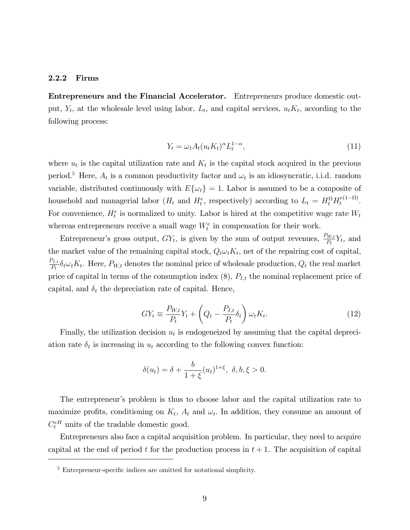#### 2.2.2 Firms

Entrepreneurs and the Financial Accelerator. Entrepreneurs produce domestic output,  $Y_t$ , at the wholesale level using labor,  $L_t$ , and capital services,  $u_t K_t$ , according to the following process:

$$
Y_t = \omega_t A_t (u_t K_t)^{\alpha} L_t^{1-\alpha},\tag{11}
$$

where  $u_t$  is the capital utilization rate and  $K_t$  is the capital stock acquired in the previous period.<sup>5</sup> Here,  $A_t$  is a common productivity factor and  $\omega_t$  is an idiosyncratic, i.i.d. random variable, distributed continuously with  $E\{\omega_t\} = 1$ . Labor is assumed to be a composite of household and managerial labor  $(H_t$  and  $H_t^e$ , respectively) according to  $L_t = H_t^{\Omega} H_t^{e(1-\Omega)}$  $\frac{e(1-3i)}{t}$ . For convenience,  $H_t^e$  is normalized to unity. Labor is hired at the competitive wage rate  $W_t$ whereas entrepreneurs receive a small wage  $W_t^e$  in compensation for their work.

Entrepreneur's gross output,  $GY_t$ , is given by the sum of output revenues,  $\frac{P_{W,t}}{P_t} Y_t$ , and the market value of the remaining capital stock,  $Q_t \omega_t K_t$ , net of the repairing cost of capital,  $P_{I,t}$  $T_t, t \delta_t \omega_t K_t$ . Here,  $P_{W,t}$  denotes the nominal price of wholesale production,  $Q_t$  the real market price of capital in terms of the consumption index  $(8)$ ,  $P_{I,t}$  the nominal replacement price of capital, and  $\delta_t$  the depreciation rate of capital. Hence,

$$
GY_t \equiv \frac{P_{W,t}}{P_t} Y_t + \left(Q_t - \frac{P_{I,t}}{P_t} \delta_t\right) \omega_t K_t.
$$
\n(12)

Finally, the utilization decision  $u_t$  is endogeneized by assuming that the capital depreciation rate  $\delta_t$  is increasing in  $u_t$  according to the following convex function:

$$
\delta(u_t) = \delta + \frac{b}{1+\xi}(u_t)^{1+\xi}, \ \delta, b, \xi > 0.
$$

The entrepreneur's problem is thus to choose labor and the capital utilization rate to maximize profits, conditioning on  $K_t$ ,  $A_t$  and  $\omega_t$ . In addition, they consume an amount of  $C_t^{eH}$  units of the tradable domestic good.

Entrepreneurs also face a capital acquisition problem. In particular, they need to acquire capital at the end of period t for the production process in  $t + 1$ . The acquisition of capital

 $5$  Entrepreneur-specific indices are omitted for notational simplicity.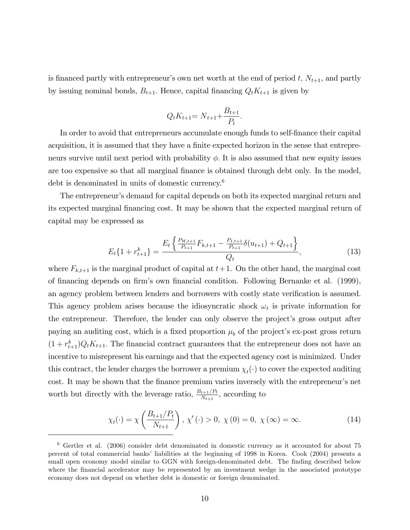is financed partly with entrepreneur's own net worth at the end of period t,  $N_{t+1}$ , and partly by issuing nominal bonds,  $B_{t+1}$ . Hence, capital financing  $Q_tK_{t+1}$  is given by

$$
Q_t K_{t+1} = N_{t+1} + \frac{B_{t+1}}{P_t}.
$$

In order to avoid that entrepreneurs accumulate enough funds to self-Önance their capital acquisition, it is assumed that they have a finite expected horizon in the sense that entrepreneurs survive until next period with probability  $\phi$ . It is also assumed that new equity issues are too expensive so that all marginal finance is obtained through debt only. In the model, debt is denominated in units of domestic currency.<sup>6</sup>

The entrepreneur's demand for capital depends on both its expected marginal return and its expected marginal financing cost. It may be shown that the expected marginal return of capital may be expressed as

$$
E_t\{1+r_{t+1}^k\} = \frac{E_t\left\{\frac{P_{W,t+1}}{P_{t+1}}F_{k,t+1} - \frac{P_{I,t+1}}{P_{t+1}}\delta(u_{t+1}) + Q_{t+1}\right\}}{Q_t},\tag{13}
$$

where  $F_{k,t+1}$  is the marginal product of capital at  $t+1$ . On the other hand, the marginal cost of Önancing depends on Örmís own Önancial condition. Following Bernanke et al. (1999), an agency problem between lenders and borrowers with costly state verification is assumed. This agency problem arises because the idiosyncratic shock  $\omega_t$  is private information for the entrepreneur. Therefore, the lender can only observe the project's gross output after paying an auditing cost, which is a fixed proportion  $\mu_b$  of the project's ex-post gross return  $(1 + r_{t+1}^k)Q_tK_{t+1}$ . The financial contract guarantees that the entrepreneur does not have an incentive to misrepresent his earnings and that the expected agency cost is minimized. Under this contract, the lender charges the borrower a premium  $\chi_t(\cdot)$  to cover the expected auditing cost. It may be shown that the finance premium varies inversely with the entrepreneur's net worth but directly with the leverage ratio,  $\frac{B_{t+1}/P_t}{N_{t+1}}$ , according to

$$
\chi_t(\cdot) = \chi\left(\frac{B_{t+1}/P_t}{N_{t+1}}\right), \chi'(\cdot) > 0, \chi(0) = 0, \chi(\infty) = \infty.
$$
 (14)

<sup>6</sup> Gertler et al. (2006) consider debt denominated in domestic currency as it accounted for about 75 percent of total commercial banks' liabilities at the beginning of 1998 in Korea. Cook (2004) presents a small open economy model similar to GGN with foreign-denominated debt. The finding described below where the financial accelerator may be represented by an investment wedge in the associated prototype economy does not depend on whether debt is domestic or foreign denominated.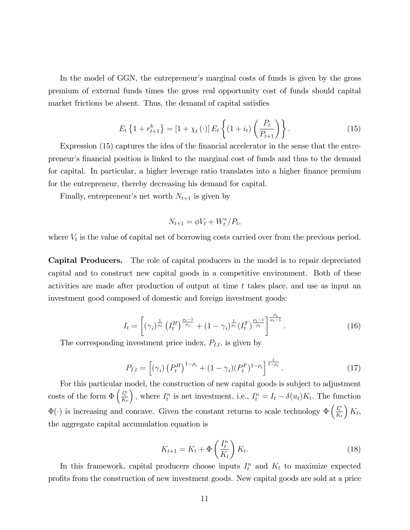In the model of GGN, the entrepreneur's marginal costs of funds is given by the gross premium of external funds times the gross real opportunity cost of funds should capital market frictions be absent. Thus, the demand of capital satisfies

$$
E_t\left\{1 + r_{t+1}^k\right\} = \left[1 + \chi_t\left(\cdot\right)\right]E_t\left\{\left(1 + i_t\right)\left(\frac{P_t}{P_{t+1}}\right)\right\}.
$$
\n(15)

Expression (15) captures the idea of the financial accelerator in the sense that the entrepreneurís Önancial position is linked to the marginal cost of funds and thus to the demand for capital. In particular, a higher leverage ratio translates into a higher finance premium for the entrepreneur, thereby decreasing his demand for capital.

Finally, entrepreneur's net worth  $N_{t+1}$  is given by

$$
N_{t+1} = \phi V_t + W_t^e / P_t,
$$

where  $V_t$  is the value of capital net of borrowing costs carried over from the previous period.

Capital Producers. The role of capital producers in the model is to repair depreciated capital and to construct new capital goods in a competitive environment. Both of these activities are made after production of output at time t takes place; and use as input an investment good composed of domestic and foreign investment goods:

$$
I_{t} = \left[ (\gamma_{i})^{\frac{1}{\rho_{i}}} \left( I_{t}^{H} \right)^{\frac{\rho_{i}-1}{\rho_{i}}} + (1 - \gamma_{i})^{\frac{1}{\rho_{i}}} (I_{t}^{F})^{\frac{\rho_{i}-1}{\rho_{i}} \right]^{\frac{\rho_{i}}{\rho_{i}-1}}.
$$
\n(16)

The corresponding investment price index,  $P_{I,t}$ , is given by

$$
P_{I,t} = \left[ (\gamma_i) \left( P_t^H \right)^{1-\rho_i} + (1-\gamma_i) (P_t^F)^{1-\rho_i} \right]^{\frac{1}{1-\rho_i}}.
$$
 (17)

For this particular model, the construction of new capital goods is subject to adjustment costs of the form  $\Phi\left(\frac{I_t^n}{K_t}\right)$ ), where  $I_t^n$  is net investment, i.e.,  $I_t^n = I_t - \delta(u_t)K_t$ . The function  $\Phi(\cdot)$  is increasing and concave. Given the constant returns to scale technology  $\Phi\left(\frac{I_t^n}{K_t}\right)$  $K_t$ the aggregate capital accumulation equation is

$$
K_{t+1} = K_t + \Phi\left(\frac{I_t^n}{K_t}\right) K_t.
$$
\n(18)

In this framework, capital producers choose inputs  $I_t^n$  and  $K_t$  to maximize expected proÖts from the construction of new investment goods. New capital goods are sold at a price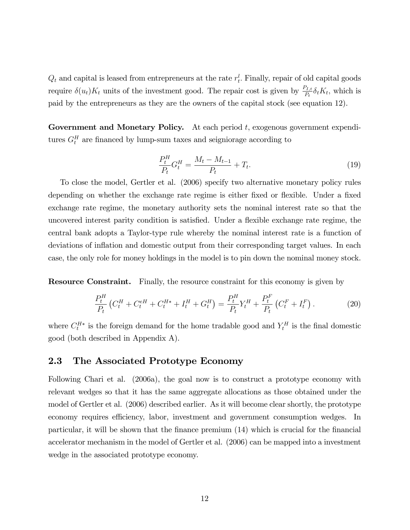$Q_t$  and capital is leased from entrepreneurs at the rate  $r_t^l$ . Finally, repair of old capital goods require  $\delta(u_t)K_t$  units of the investment good. The repair cost is given by  $\frac{P_{I,t}}{P_t}\delta_tK_t$ , which is paid by the entrepreneurs as they are the owners of the capital stock (see equation 12).

**Government and Monetary Policy.** At each period  $t$ , exogenous government expenditures  $G_t^H$  are financed by lump-sum taxes and seigniorage according to

$$
\frac{P_t^H}{P_t} G_t^H = \frac{M_t - M_{t-1}}{P_t} + T_t.
$$
\n(19)

To close the model, Gertler et al. (2006) specify two alternative monetary policy rules depending on whether the exchange rate regime is either fixed or flexible. Under a fixed exchange rate regime, the monetary authority sets the nominal interest rate so that the uncovered interest parity condition is satisfied. Under a flexible exchange rate regime, the central bank adopts a Taylor-type rule whereby the nominal interest rate is a function of deviations of inflation and domestic output from their corresponding target values. In each case, the only role for money holdings in the model is to pin down the nominal money stock.

Resource Constraint. Finally, the resource constraint for this economy is given by

$$
\frac{P_t^H}{P_t} \left( C_t^H + C_t^{eH} + C_t^{H*} + I_t^H + G_t^H \right) = \frac{P_t^H}{P_t} Y_t^H + \frac{P_t^F}{P_t} \left( C_t^F + I_t^F \right). \tag{20}
$$

where  $C_t^{H*}$  is the foreign demand for the home tradable good and  $Y_t^H$  is the final domestic good (both described in Appendix A).

### 2.3 The Associated Prototype Economy

Following Chari et al. (2006a), the goal now is to construct a prototype economy with relevant wedges so that it has the same aggregate allocations as those obtained under the model of Gertler et al. (2006) described earlier. As it will become clear shortly, the prototype economy requires efficiency, labor, investment and government consumption wedges. In particular, it will be shown that the finance premium  $(14)$  which is crucial for the financial accelerator mechanism in the model of Gertler et al. (2006) can be mapped into a investment wedge in the associated prototype economy.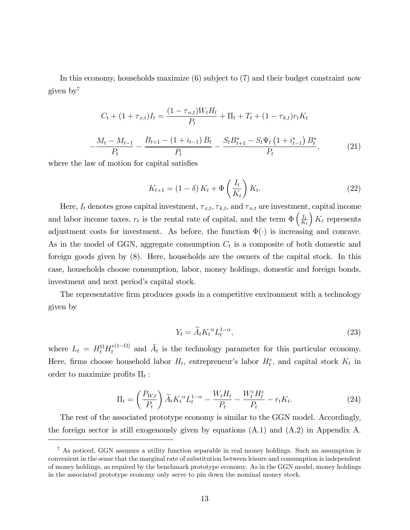In this economy, households maximize (6) subject to (7) and their budget constraint now given by<sup>7</sup>

$$
C_{t} + (1 + \tau_{x,t})I_{t} = \frac{(1 - \tau_{n,t})W_{t}H_{t}}{P_{t}} + \Pi_{t} + T_{t} + (1 - \tau_{k,t})r_{t}K_{t}
$$

$$
-\frac{M_{t} - M_{t-1}}{P_{t}} - \frac{B_{t+1} - (1 + i_{t-1})B_{t}}{P_{t}} - \frac{S_{t}B_{t+1}^{*} - S_{t}\Psi_{t}\left(1 + i_{t-1}^{*}\right)B_{t}^{*}}{P_{t}}, \tag{21}
$$

where the law of motion for capital satisfies

$$
K_{t+1} = (1 - \delta) K_t + \Phi\left(\frac{I_t}{K_t}\right) K_t.
$$
\n(22)

Here,  $I_t$  denotes gross capital investment,  $\tau_{x,t}, \tau_{k,t}$ , and  $\tau_{n,t}$  are investment, capital income and labor income taxes,  $r_t$  is the rental rate of capital, and the term  $\Phi\left(\frac{I_t}{K}\right)$  $K_t$  $K_t$  represents adjustment costs for investment. As before, the function  $\Phi(\cdot)$  is increasing and concave. As in the model of GGN, aggregate consumption  $C_t$  is a composite of both domestic and foreign goods given by (8). Here, households are the owners of the capital stock. In this case, households choose consumption, labor, money holdings, domestic and foreign bonds, investment and next period's capital stock.

The representative firm produces goods in a competitive environment with a technology given by

$$
Y_t = \widetilde{A}_t K_t^{\alpha} L_t^{1-\alpha},\tag{23}
$$

where  $L_t = H_t^{\Omega} H_t^{e(1-\Omega)}$  and  $\tilde{A}_t$  is the technology parameter for this particular economy. Here, firms choose household labor  $H_t$ , entrepreneur's labor  $H_t^e$ , and capital stock  $K_t$  in order to maximize profits  $\Pi_t$ :

$$
\Pi_t = \left(\frac{P_{W,t}}{P_t}\right)\widetilde{A}_t K_t^{\alpha} L_t^{1-\alpha} - \frac{W_t H_t}{P_t} - \frac{W_t^e H_t^e}{P_t} - r_t K_t.
$$
\n(24)

The rest of the associated prototype economy is similar to the GGN model. Accordingly, the foreign sector is still exogenously given by equations (A.1) and (A.2) in Appendix A.

<sup>7</sup> As noticed, GGN assumes a utility function separable in real money holdings. Such an assumption is convenient in the sense that the marginal rate of substitution between leisure and consumption is independent of money holdings, as required by the benchmark prototype economy. As in the GGN model, money holdings in the associated prototype economy only serve to pin down the nominal money stock.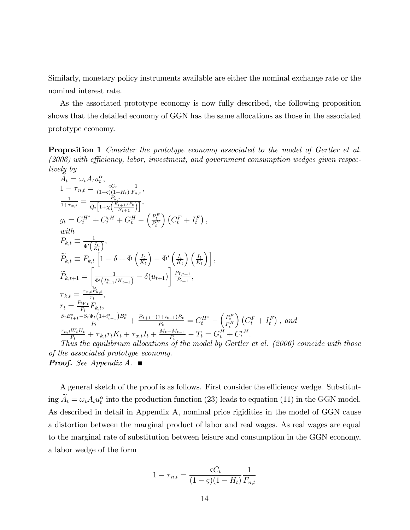Similarly, monetary policy instruments available are either the nominal exchange rate or the nominal interest rate.

As the associated prototype economy is now fully described, the following proposition shows that the detailed economy of GGN has the same allocations as those in the associated prototype economy.

**Proposition 1** Consider the prototype economy associated to the model of Gertler et al.  $(2006)$  with efficiency, labor, investment, and government consumption wedges given respectively by

$$
\tilde{A}_{t} = \omega_{t} A_{t} u_{t}^{\alpha},
$$
\n
$$
1 - \tau_{n,t} = \frac{C_{t}}{(1-\varsigma)(1-H_{t})} \frac{1}{F_{n,t}},
$$
\n
$$
\frac{1}{1+\tau_{x,t}} = \frac{1}{Q_{t} [1+\chi(\frac{B_{t+1}/F_{t}}{N_{t+1}})]},
$$
\n
$$
g_{t} = C_{t}^{H^{*}} + C_{t}^{eH} + G_{t}^{H} - (\frac{P_{t}^{F}}{P_{t}^{H}}) (C_{t}^{F} + I_{t}^{F}),
$$
\nwith\n
$$
P_{k,t} \equiv \frac{1}{\Phi'(\frac{I_{t}}{K_{t}})},
$$
\n
$$
\widetilde{P}_{k,t} \equiv P_{k,t} \left[ 1 - \delta + \Phi\left(\frac{I_{t}}{K_{t}}\right) - \Phi'\left(\frac{I_{t}}{K_{t}}\right) \left(\frac{I_{t}}{K_{t}}\right) \right],
$$
\n
$$
\tilde{P}_{k,t+1} = \left[ \frac{1}{\Phi'(I_{t+1}^{n}/K_{t+1})} - \delta(u_{t+1}) \right] \frac{P_{I,t+1}}{P_{t+1}},
$$
\n
$$
\tau_{k,t} = \frac{\tau_{x,t} \widetilde{P}_{k,t}}{r_{t}},
$$
\n
$$
r_{t} = \frac{P_{W,t}}{P_{t}} F_{k,t},
$$
\n
$$
\frac{S_{t} B_{t+1}^{*} - S_{t} \Psi_{t} (1+i_{t-1}^{*}) B_{t}^{*}}{P_{t}} + \frac{B_{t+1} - (1+i_{t-1})B_{t}}{P_{t}} = C_{t}^{H^{*}} - \left(\frac{P_{t}^{F}}{P_{t}^{H}}\right) (C_{t}^{F} + I_{t}^{F}),
$$
\nand\n
$$
\frac{\tau_{n,t} W_{t} H_{t}}{P_{t}} + \tau_{k,t} r_{t} K_{t} + \tau_{x,t} I_{t} + \frac{M_{t} - M_{t-1}}{P_{t}} - T_{t} = G_{t}^{H} + C_{t}^{eH}.
$$
\nThus the equilibrium allocation  $\delta$  of the model by Gerther et al. (2006) coincide with those

of the associated prototype economy. **Proof.** See Appendix A.

A general sketch of the proof is as follows. First consider the efficiency wedge. Substituting  $A_t = \omega_t A_t u_t^{\alpha}$  into the production function (23) leads to equation (11) in the GGN model. As described in detail in Appendix A, nominal price rigidities in the model of GGN cause a distortion between the marginal product of labor and real wages. As real wages are equal to the marginal rate of substitution between leisure and consumption in the GGN economy, a labor wedge of the form

$$
1 - \tau_{n,t} = \frac{\varsigma C_t}{(1 - \varsigma)(1 - H_t)} \frac{1}{F_{n,t}}
$$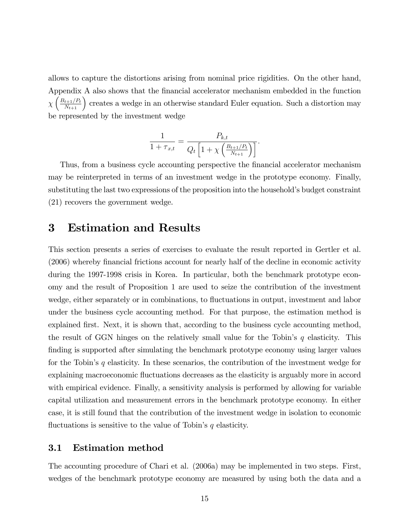allows to capture the distortions arising from nominal price rigidities. On the other hand, Appendix A also shows that the financial accelerator mechanism embedded in the function  $\chi\left(\frac{B_{t+1}/P_t}{N_{t+1}}\right)$  creates a wedge in an otherwise standard Euler equation. Such a distortion may be represented by the investment wedge

$$
\frac{1}{1+\tau_{x,t}} = \frac{P_{k,t}}{Q_t \left[1 + \chi \left(\frac{B_{t+1}/P_t}{N_{t+1}}\right)\right]}.
$$

Thus, from a business cycle accounting perspective the financial accelerator mechanism may be reinterpreted in terms of an investment wedge in the prototype economy. Finally, substituting the last two expressions of the proposition into the household's budget constraint (21) recovers the government wedge.

### 3 Estimation and Results

This section presents a series of exercises to evaluate the result reported in Gertler et al. (2006) whereby financial frictions account for nearly half of the decline in economic activity during the 1997-1998 crisis in Korea. In particular, both the benchmark prototype economy and the result of Proposition 1 are used to seize the contribution of the investment wedge, either separately or in combinations, to fluctuations in output, investment and labor under the business cycle accounting method. For that purpose, the estimation method is explained first. Next, it is shown that, according to the business cycle accounting method, the result of GGN hinges on the relatively small value for the Tobin's  $q$  elasticity. This finding is supported after simulating the benchmark prototype economy using larger values for the Tobin's q elasticity. In these scenarios, the contribution of the investment wedge for explaining macroeconomic fluctuations decreases as the elasticity is arguably more in accord with empirical evidence. Finally, a sensitivity analysis is performed by allowing for variable capital utilization and measurement errors in the benchmark prototype economy. In either case, it is still found that the contribution of the investment wedge in isolation to economic fluctuations is sensitive to the value of Tobin's  $q$  elasticity.

### 3.1 Estimation method

The accounting procedure of Chari et al. (2006a) may be implemented in two steps. First, wedges of the benchmark prototype economy are measured by using both the data and a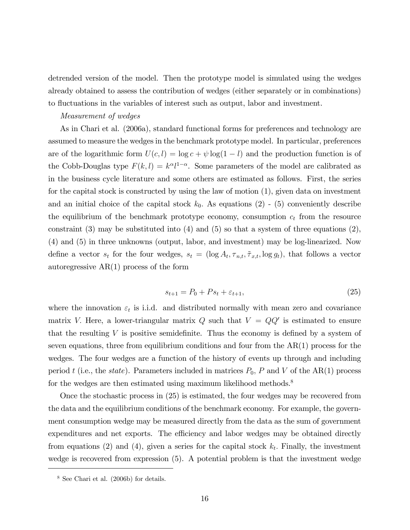detrended version of the model. Then the prototype model is simulated using the wedges already obtained to assess the contribution of wedges (either separately or in combinations) to fluctuations in the variables of interest such as output, labor and investment.

#### Measurement of wedges

As in Chari et al. (2006a), standard functional forms for preferences and technology are assumed to measure the wedges in the benchmark prototype model. In particular, preferences are of the logarithmic form  $U(c, l) = \log c + \psi \log(1 - l)$  and the production function is of the Cobb-Douglas type  $F(k, l) = k^{\alpha} l^{1-\alpha}$ . Some parameters of the model are calibrated as in the business cycle literature and some others are estimated as follows. First, the series for the capital stock is constructed by using the law of motion (1), given data on investment and an initial choice of the capital stock  $k_0$ . As equations (2) - (5) conveniently describe the equilibrium of the benchmark prototype economy, consumption  $c_t$  from the resource constraint  $(3)$  may be substituted into  $(4)$  and  $(5)$  so that a system of three equations  $(2)$ , (4) and (5) in three unknowns (output, labor, and investment) may be log-linearized. Now define a vector  $s_t$  for the four wedges,  $s_t = (\log A_t, \tau_{n,t}, \tilde{\tau}_{x,t}, \log g_t)$ , that follows a vector autoregressive AR(1) process of the form

$$
s_{t+1} = P_0 + Ps_t + \varepsilon_{t+1},\tag{25}
$$

where the innovation  $\varepsilon_t$  is i.i.d. and distributed normally with mean zero and covariance matrix V. Here, a lower-triangular matrix Q such that  $V = QQ'$  is estimated to ensure that the resulting  $V$  is positive semidefinite. Thus the economy is defined by a system of seven equations, three from equilibrium conditions and four from the  $AR(1)$  process for the wedges. The four wedges are a function of the history of events up through and including period t (i.e., the state). Parameters included in matrices  $P_0$ , P and V of the AR(1) process for the wedges are then estimated using maximum likelihood methods.<sup>8</sup>

Once the stochastic process in (25) is estimated, the four wedges may be recovered from the data and the equilibrium conditions of the benchmark economy. For example, the government consumption wedge may be measured directly from the data as the sum of government expenditures and net exports. The efficiency and labor wedges may be obtained directly from equations (2) and (4), given a series for the capital stock  $k_t$ . Finally, the investment wedge is recovered from expression (5). A potential problem is that the investment wedge

<sup>8</sup> See Chari et al. (2006b) for details.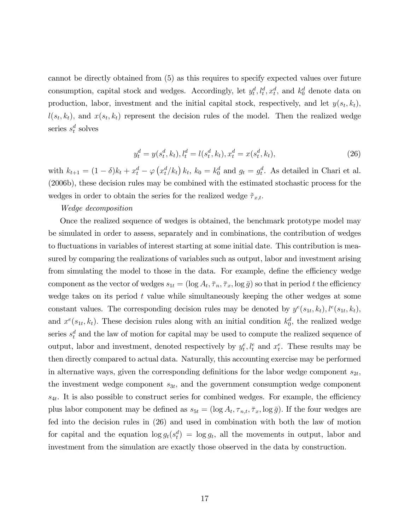cannot be directly obtained from (5) as this requires to specify expected values over future consumption, capital stock and wedges. Accordingly, let  $y_t^d, l_t^d, x_t^d$ , and  $k_0^d$  denote data on production, labor, investment and the initial capital stock, respectively, and let  $y(s_t, k_t)$ ,  $l(s_t, k_t)$ , and  $x(s_t, k_t)$  represent the decision rules of the model. Then the realized wedge series  $s_t^d$  solves

$$
y_t^d = y(s_t^d, k_t), l_t^d = l(s_t^d, k_t), x_t^d = x(s_t^d, k_t),
$$
\n(26)

with  $k_{t+1} = (1 - \delta)k_t + x_t^d - \varphi(x_t^d/k_t) k_t$ ,  $k_0 = k_0^d$  and  $g_t = g_t^d$ . As detailed in Chari et al. (2006b), these decision rules may be combined with the estimated stochastic process for the wedges in order to obtain the series for the realized wedge  $\tilde{\tau}_{x,t}$ .

#### Wedge decomposition

Once the realized sequence of wedges is obtained, the benchmark prototype model may be simulated in order to assess, separately and in combinations, the contribution of wedges to fluctuations in variables of interest starting at some initial date. This contribution is measured by comparing the realizations of variables such as output, labor and investment arising from simulating the model to those in the data. For example, define the efficiency wedge component as the vector of wedges  $s_{1t} = (\log A_t, \overline{\tau}_n, \overline{\tau}_x, \log \overline{g})$  so that in period t the efficiency wedge takes on its period  $t$  value while simultaneously keeping the other wedges at some constant values. The corresponding decision rules may be denoted by  $y^{e}(s_{1t}, k_t)$ ,  $l^{e}(s_{1t}, k_t)$ , and  $x^e(s_{1t}, k_t)$ . These decision rules along with an initial condition  $k_0^d$ , the realized wedge series  $s_t^d$  and the law of motion for capital may be used to compute the realized sequence of output, labor and investment, denoted respectively by  $y_t^e, l_t^e$  and  $x_t^e$ . These results may be then directly compared to actual data. Naturally, this accounting exercise may be performed in alternative ways, given the corresponding definitions for the labor wedge component  $s_{2t}$ , the investment wedge component  $s_{3t}$ , and the government consumption wedge component  $s_{4t}$ . It is also possible to construct series for combined wedges. For example, the efficiency plus labor component may be defined as  $s_{5t} = (\log A_t, \tau_{n,t}, \overline{\tau}_x, \log \overline{g})$ . If the four wedges are fed into the decision rules in (26) and used in combination with both the law of motion for capital and the equation  $\log g_t(s_t^d) = \log g_t$ , all the movements in output, labor and investment from the simulation are exactly those observed in the data by construction.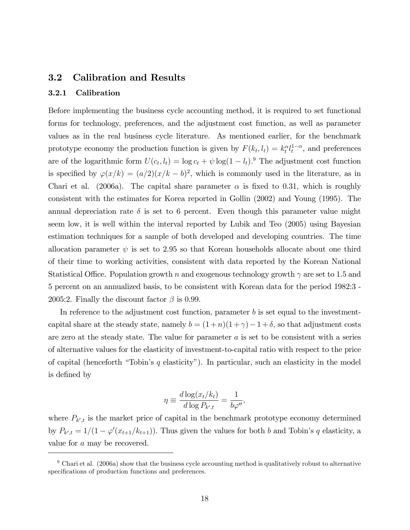### 3.2 Calibration and Results

#### 3.2.1 Calibration

Before implementing the business cycle accounting method, it is required to set functional forms for technology, preferences, and the adjustment cost function, as well as parameter values as in the real business cycle literature. As mentioned earlier, for the benchmark prototype economy the production function is given by  $F(k_t, l_t) = k_t^{\alpha} l_t^{1-\alpha}$ , and preferences are of the logarithmic form  $U(c_t, l_t) = \log c_t + \psi \log(1 - l_t).$ <sup>9</sup> The adjustment cost function is specified by  $\varphi(x/k) = (a/2)(x/k - b)^2$ , which is commonly used in the literature, as in Chari et al. (2006a). The capital share parameter  $\alpha$  is fixed to 0.31, which is roughly consistent with the estimates for Korea reported in Gollin (2002) and Young (1995). The annual depreciation rate  $\delta$  is set to 6 percent. Even though this parameter value might seem low, it is well within the interval reported by Lubik and Teo (2005) using Bayesian estimation techniques for a sample of both developed and developing countries. The time allocation parameter  $\psi$  is set to 2.95 so that Korean households allocate about one third of their time to working activities, consistent with data reported by the Korean National Statistical Office. Population growth n and exogenous technology growth  $\gamma$  are set to 1.5 and 5 percent on an annualized basis, to be consistent with Korean data for the period 1982:3 - 2005:2. Finally the discount factor  $\beta$  is 0.99.

In reference to the adjustment cost function, parameter  $b$  is set equal to the investmentcapital share at the steady state, namely  $b = (1+n)(1+\gamma) - 1+\delta$ , so that adjustment costs are zero at the steady state. The value for parameter  $a$  is set to be consistent with a series of alternative values for the elasticity of investment-to-capital ratio with respect to the price of capital (henceforth "Tobin's q elasticity"). In particular, such an elasticity in the model is defined by

$$
\eta \equiv \frac{d \log(x_t/k_t)}{d \log P_{k',t}} = \frac{1}{b\varphi''},
$$

where  $P_{k',t}$  is the market price of capital in the benchmark prototype economy determined by  $P_{k',t} = 1/(1 - \varphi'(x_{t+1}/k_{t+1}))$ . Thus given the values for both b and Tobin's q elasticity, a value for a may be recovered.

 $9$  Chari et al. (2006a) show that the business cycle accounting method is qualitatively robust to alternative specifications of production functions and preferences.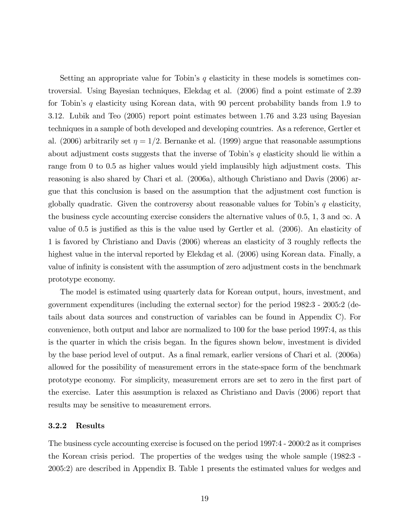Setting an appropriate value for Tobin's  $q$  elasticity in these models is sometimes controversial. Using Bayesian techniques, Elekdag et al. (2006) find a point estimate of 2.39 for Tobin's q elasticity using Korean data, with 90 percent probability bands from 1.9 to 3.12. Lubik and Teo (2005) report point estimates between 1.76 and 3.23 using Bayesian techniques in a sample of both developed and developing countries. As a reference, Gertler et al. (2006) arbitrarily set  $\eta = 1/2$ . Bernanke et al. (1999) argue that reasonable assumptions about adjustment costs suggests that the inverse of Tobin's  $q$  elasticity should lie within a range from 0 to 0.5 as higher values would yield implausibly high adjustment costs. This reasoning is also shared by Chari et al. (2006a), although Christiano and Davis (2006) argue that this conclusion is based on the assumption that the adjustment cost function is globally quadratic. Given the controversy about reasonable values for Tobin's  $q$  elasticity, the business cycle accounting exercise considers the alternative values of 0.5, 1, 3 and  $\infty$ . value of  $0.5$  is justified as this is the value used by Gertler et al.  $(2006)$ . An elasticity of 1 is favored by Christiano and Davis (2006) whereas an elasticity of 3 roughly reflects the highest value in the interval reported by Elekdag et al. (2006) using Korean data. Finally, a value of infinity is consistent with the assumption of zero adjustment costs in the benchmark prototype economy.

The model is estimated using quarterly data for Korean output, hours, investment, and government expenditures (including the external sector) for the period 1982:3 - 2005:2 (details about data sources and construction of variables can be found in Appendix C). For convenience, both output and labor are normalized to 100 for the base period 1997:4, as this is the quarter in which the crisis began. In the figures shown below, investment is divided by the base period level of output. As a final remark, earlier versions of Chari et al. (2006a) allowed for the possibility of measurement errors in the state-space form of the benchmark prototype economy. For simplicity, measurement errors are set to zero in the first part of the exercise. Later this assumption is relaxed as Christiano and Davis (2006) report that results may be sensitive to measurement errors.

#### 3.2.2 Results

The business cycle accounting exercise is focused on the period 1997:4 - 2000:2 as it comprises the Korean crisis period. The properties of the wedges using the whole sample (1982:3 - 2005:2) are described in Appendix B. Table 1 presents the estimated values for wedges and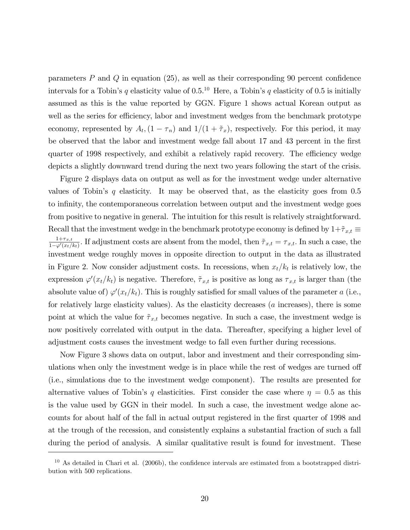parameters  $P$  and  $Q$  in equation (25), as well as their corresponding 90 percent confidence intervals for a Tobin's q elasticity value of  $0.5^{10}$  Here, a Tobin's q elasticity of 0.5 is initially assumed as this is the value reported by GGN. Figure 1 shows actual Korean output as well as the series for efficiency, labor and investment wedges from the benchmark prototype economy, represented by  $A_t$ ,  $(1 - \tau_n)$  and  $1/(1 + \tilde{\tau}_x)$ , respectively. For this period, it may be observed that the labor and investment wedge fall about 17 and 43 percent in the first quarter of 1998 respectively, and exhibit a relatively rapid recovery. The efficiency wedge depicts a slightly downward trend during the next two years following the start of the crisis.

Figure 2 displays data on output as well as for the investment wedge under alternative values of Tobin's  $q$  elasticity. It may be observed that, as the elasticity goes from  $0.5$ to infinity, the contemporaneous correlation between output and the investment wedge goes from positive to negative in general. The intuition for this result is relatively straightforward. Recall that the investment wedge in the benchmark prototype economy is defined by  $1+\tilde{\tau}_{x,t}$  $1+\tau_{x,t}$  $\frac{1+\tau_{x,t}}{1-\varphi'(x_t/k_t)}$ . If adjustment costs are absent from the model, then  $\tilde{\tau}_{x,t} = \tau_{x,t}$ . In such a case, the investment wedge roughly moves in opposite direction to output in the data as illustrated in Figure 2. Now consider adjustment costs. In recessions, when  $x_t/k_t$  is relatively low, the expression  $\varphi'(x_t/k_t)$  is negative. Therefore,  $\tilde{\tau}_{x,t}$  is positive as long as  $\tau_{x,t}$  is larger than (the absolute value of)  $\varphi'(x_t/k_t)$ . This is roughly satisfied for small values of the parameter a (i.e., for relatively large elasticity values). As the elasticity decreases  $(a \text{ increases})$ , there is some point at which the value for  $\tilde{\tau}_{x,t}$  becomes negative. In such a case, the investment wedge is now positively correlated with output in the data. Thereafter, specifying a higher level of adjustment costs causes the investment wedge to fall even further during recessions.

Now Figure 3 shows data on output, labor and investment and their corresponding simulations when only the investment wedge is in place while the rest of wedges are turned off (i.e., simulations due to the investment wedge component). The results are presented for alternative values of Tobin's q elasticities. First consider the case where  $\eta = 0.5$  as this is the value used by GGN in their model. In such a case, the investment wedge alone accounts for about half of the fall in actual output registered in the first quarter of 1998 and at the trough of the recession, and consistently explains a substantial fraction of such a fall during the period of analysis. A similar qualitative result is found for investment. These

 $10$  As detailed in Chari et al. (2006b), the confidence intervals are estimated from a bootstrapped distribution with 500 replications.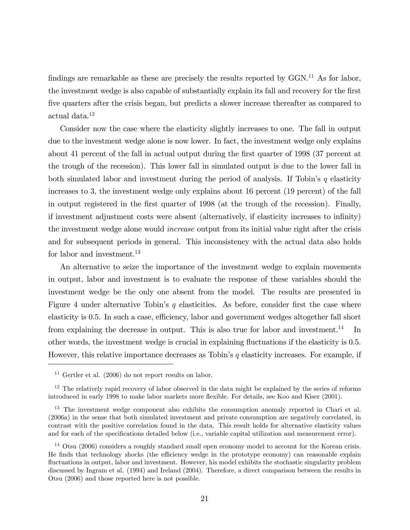findings are remarkable as these are precisely the results reported by  $GGN<sup>11</sup>$  As for labor, the investment wedge is also capable of substantially explain its fall and recovery for the first Öve quarters after the crisis began, but predicts a slower increase thereafter as compared to actual data.<sup>12</sup>

Consider now the case where the elasticity slightly increases to one. The fall in output due to the investment wedge alone is now lower. In fact, the investment wedge only explains about 41 percent of the fall in actual output during the first quarter of 1998 (37 percent at the trough of the recession). This lower fall in simulated output is due to the lower fall in both simulated labor and investment during the period of analysis. If Tobin's  $q$  elasticity increases to 3, the investment wedge only explains about 16 percent (19 percent) of the fall in output registered in the first quarter of 1998 (at the trough of the recession). Finally, if investment adjustment costs were absent (alternatively, if elasticity increases to infinity) the investment wedge alone would increase output from its initial value right after the crisis and for subsequent periods in general. This inconsistency with the actual data also holds for labor and investment.<sup>13</sup>

An alternative to seize the importance of the investment wedge to explain movements in output, labor and investment is to evaluate the response of these variables should the investment wedge be the only one absent from the model. The results are presented in Figure 4 under alternative Tobin's q elasticities. As before, consider first the case where elasticity is 0.5. In such a case, efficiency, labor and government wedges altogether fall short from explaining the decrease in output. This is also true for labor and investment.<sup>14</sup> In other words, the investment wedge is crucial in explaining áuctuations if the elasticity is 0.5. However, this relative importance decreases as Tobin's  $q$  elasticity increases. For example, if

 $11$  Gertler et al. (2006) do not report results on labor.

 $12$  The relatively rapid recovery of labor observed in the data might be explained by the series of reforms introduced in early 1998 to make labor markets more flexible. For details, see Koo and Kiser (2001).

<sup>&</sup>lt;sup>13</sup> The investment wedge component also exhibits the consumption anomaly reported in Chari et al. (2006a) in the sense that both simulated investment and private consumption are negatively correlated, in contrast with the positive correlation found in the data. This result holds for alternative elasticity values and for each of the specifications detailed below (i.e., variable capital utilization and measurement error).

<sup>&</sup>lt;sup>14</sup> Otsu (2006) considers a roughly standard small open economy model to account for the Korean crisis. He finds that technology shocks (the efficiency wedge in the prototype economy) can reasonable explain fluctuations in output, labor and investment. However, his model exhibits the stochastic singularity problem discussed by Ingram et al. (1994) and Ireland (2004). Therefore, a direct comparison between the results in Otsu (2006) and those reported here is not possible.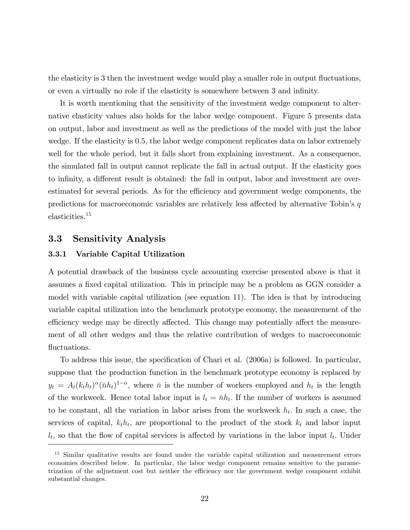the elasticity is 3 then the investment wedge would play a smaller role in output fluctuations, or even a virtually no role if the elasticity is somewhere between 3 and infinity.

It is worth mentioning that the sensitivity of the investment wedge component to alternative elasticity values also holds for the labor wedge component. Figure 5 presents data on output, labor and investment as well as the predictions of the model with just the labor wedge. If the elasticity is 0.5, the labor wedge component replicates data on labor extremely well for the whole period, but it falls short from explaining investment. As a consequence, the simulated fall in output cannot replicate the fall in actual output. If the elasticity goes to infinity, a different result is obtained: the fall in output, labor and investment are overestimated for several periods. As for the efficiency and government wedge components, the predictions for macroeconomic variables are relatively less affected by alternative Tobin's  $q$ elasticities.<sup>15</sup>

### 3.3 Sensitivity Analysis

#### 3.3.1 Variable Capital Utilization

A potential drawback of the business cycle accounting exercise presented above is that it assumes a fixed capital utilization. This in principle may be a problem as GGN consider a model with variable capital utilization (see equation 11). The idea is that by introducing variable capital utilization into the benchmark prototype economy, the measurement of the efficiency wedge may be directly affected. This change may potentially affect the measurement of all other wedges and thus the relative contribution of wedges to macroeconomic fluctuations.

To address this issue, the specification of Chari et al. (2006a) is followed. In particular, suppose that the production function in the benchmark prototype economy is replaced by  $y_t = A_t(k_t h_t)^{\alpha} (\bar{n} h_t)^{1-\alpha}$ , where  $\bar{n}$  is the number of workers employed and  $h_t$  is the length of the workweek. Hence total labor input is  $l_t = \bar{n}h_t$ . If the number of workers is assumed to be constant, all the variation in labor arises from the workweek  $h_t$ . In such a case, the services of capital,  $k_t h_t$ , are proportional to the product of the stock  $k_t$  and labor input  $l_t$ , so that the flow of capital services is affected by variations in the labor input  $l_t$ . Under

<sup>&</sup>lt;sup>15</sup> Similar qualitative results are found under the variable capital utilization and measurement errors economies described below. In particular, the labor wedge component remains sensitive to the parametrization of the adjustment cost but neither the efficiency nor the government wedge component exhibit substantial changes.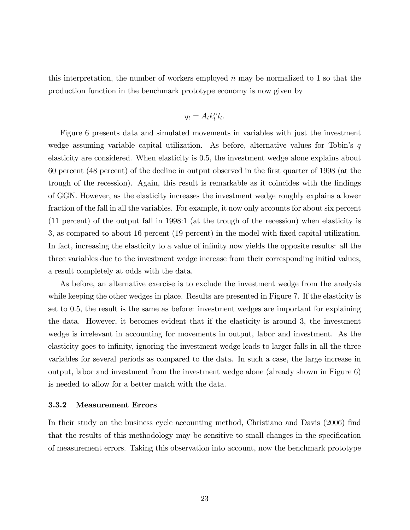this interpretation, the number of workers employed  $\bar{n}$  may be normalized to 1 so that the production function in the benchmark prototype economy is now given by

$$
y_t = A_t k_t^{\alpha} l_t.
$$

Figure 6 presents data and simulated movements in variables with just the investment wedge assuming variable capital utilization. As before, alternative values for Tobin's  $q$ elasticity are considered. When elasticity is 0.5, the investment wedge alone explains about 60 percent (48 percent) of the decline in output observed in the Örst quarter of 1998 (at the trough of the recession). Again, this result is remarkable as it coincides with the findings of GGN. However, as the elasticity increases the investment wedge roughly explains a lower fraction of the fall in all the variables. For example, it now only accounts for about six percent (11 percent) of the output fall in 1998:1 (at the trough of the recession) when elasticity is 3, as compared to about 16 percent (19 percent) in the model with Öxed capital utilization. In fact, increasing the elasticity to a value of infinity now yields the opposite results: all the three variables due to the investment wedge increase from their corresponding initial values, a result completely at odds with the data.

As before, an alternative exercise is to exclude the investment wedge from the analysis while keeping the other wedges in place. Results are presented in Figure 7. If the elasticity is set to 0.5, the result is the same as before: investment wedges are important for explaining the data. However, it becomes evident that if the elasticity is around 3, the investment wedge is irrelevant in accounting for movements in output, labor and investment. As the elasticity goes to infinity, ignoring the investment wedge leads to larger falls in all the three variables for several periods as compared to the data. In such a case, the large increase in output, labor and investment from the investment wedge alone (already shown in Figure 6) is needed to allow for a better match with the data.

#### 3.3.2 Measurement Errors

In their study on the business cycle accounting method, Christiano and Davis (2006) find that the results of this methodology may be sensitive to small changes in the specification of measurement errors. Taking this observation into account, now the benchmark prototype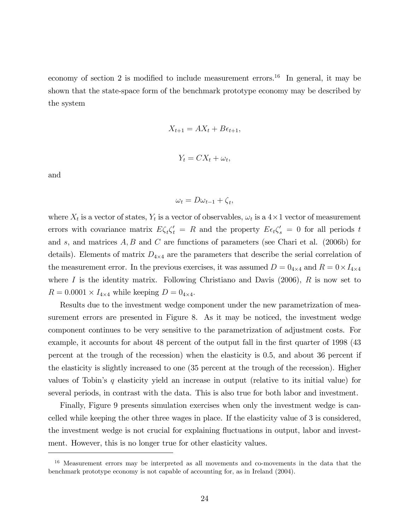economy of section 2 is modified to include measurement errors.<sup>16</sup> In general, it may be shown that the state-space form of the benchmark prototype economy may be described by the system

$$
X_{t+1} = AX_t + B\epsilon_{t+1},
$$
  

$$
Y_t = CX_t + \omega_t,
$$

and

$$
\omega_t = D\omega_{t-1} + \zeta_t,
$$

where  $X_t$  is a vector of states,  $Y_t$  is a vector of observables,  $\omega_t$  is a  $4 \times 1$  vector of measurement errors with covariance matrix  $E \zeta_t \zeta_t' = R$  and the property  $E \epsilon_t \zeta_s' = 0$  for all periods t and s, and matrices  $A, B$  and  $C$  are functions of parameters (see Chari et al. (2006b) for details). Elements of matrix  $D_{4\times 4}$  are the parameters that describe the serial correlation of the measurement error. In the previous exercises, it was assumed  $D = 0_{4 \times 4}$  and  $R = 0 \times I_{4 \times 4}$ where I is the identity matrix. Following Christiano and Davis  $(2006)$ , R is now set to  $R = 0.0001 \times I_{4 \times 4}$  while keeping  $D = 0_{4 \times 4}$ .

Results due to the investment wedge component under the new parametrization of measurement errors are presented in Figure 8. As it may be noticed, the investment wedge component continues to be very sensitive to the parametrization of adjustment costs. For example, it accounts for about 48 percent of the output fall in the first quarter of 1998 (43) percent at the trough of the recession) when the elasticity is 0.5, and about 36 percent if the elasticity is slightly increased to one (35 percent at the trough of the recession). Higher values of Tobin's  $q$  elasticity yield an increase in output (relative to its initial value) for several periods, in contrast with the data. This is also true for both labor and investment.

Finally, Figure 9 presents simulation exercises when only the investment wedge is cancelled while keeping the other three wages in place. If the elasticity value of 3 is considered, the investment wedge is not crucial for explaining fluctuations in output, labor and investment. However, this is no longer true for other elasticity values.

 $16$  Measurement errors may be interpreted as all movements and co-movements in the data that the benchmark prototype economy is not capable of accounting for, as in Ireland (2004).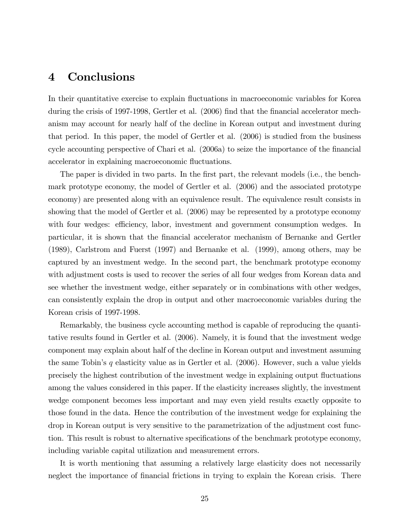# 4 Conclusions

In their quantitative exercise to explain fluctuations in macroeconomic variables for Korea during the crisis of 1997-1998, Gertler et al. (2006) find that the financial accelerator mechanism may account for nearly half of the decline in Korean output and investment during that period. In this paper, the model of Gertler et al. (2006) is studied from the business cycle accounting perspective of Chari et al. (2006a) to seize the importance of the financial accelerator in explaining macroeconomic fluctuations.

The paper is divided in two parts. In the first part, the relevant models (i.e., the benchmark prototype economy, the model of Gertler et al. (2006) and the associated prototype economy) are presented along with an equivalence result. The equivalence result consists in showing that the model of Gertler et al. (2006) may be represented by a prototype economy with four wedges: efficiency, labor, investment and government consumption wedges. In particular, it is shown that the Önancial accelerator mechanism of Bernanke and Gertler (1989), Carlstrom and Fuerst (1997) and Bernanke et al. (1999), among others, may be captured by an investment wedge. In the second part, the benchmark prototype economy with adjustment costs is used to recover the series of all four wedges from Korean data and see whether the investment wedge, either separately or in combinations with other wedges, can consistently explain the drop in output and other macroeconomic variables during the Korean crisis of 1997-1998.

Remarkably, the business cycle accounting method is capable of reproducing the quantitative results found in Gertler et al. (2006). Namely, it is found that the investment wedge component may explain about half of the decline in Korean output and investment assuming the same Tobin's q elasticity value as in Gertler et al.  $(2006)$ . However, such a value yields precisely the highest contribution of the investment wedge in explaining output fluctuations among the values considered in this paper. If the elasticity increases slightly, the investment wedge component becomes less important and may even yield results exactly opposite to those found in the data. Hence the contribution of the investment wedge for explaining the drop in Korean output is very sensitive to the parametrization of the adjustment cost function. This result is robust to alternative specifications of the benchmark prototype economy, including variable capital utilization and measurement errors.

It is worth mentioning that assuming a relatively large elasticity does not necessarily neglect the importance of financial frictions in trying to explain the Korean crisis. There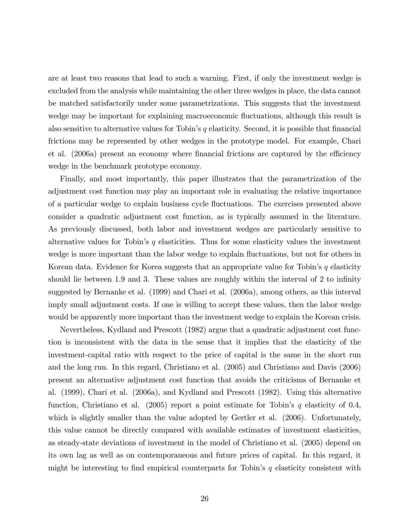are at least two reasons that lead to such a warning. First, if only the investment wedge is excluded from the analysis while maintaining the other three wedges in place, the data cannot be matched satisfactorily under some parametrizations. This suggests that the investment wedge may be important for explaining macroeconomic fluctuations, although this result is also sensitive to alternative values for Tobin's  $q$  elasticity. Second, it is possible that financial frictions may be represented by other wedges in the prototype model. For example, Chari et al. (2006a) present an economy where financial frictions are captured by the efficiency wedge in the benchmark prototype economy.

Finally, and most importantly, this paper illustrates that the parametrization of the adjustment cost function may play an important role in evaluating the relative importance of a particular wedge to explain business cycle áuctuations. The exercises presented above consider a quadratic adjustment cost function, as is typically assumed in the literature. As previously discussed, both labor and investment wedges are particularly sensitive to alternative values for Tobin's  $q$  elasticities. Thus for some elasticity values the investment wedge is more important than the labor wedge to explain fluctuations, but not for others in Korean data. Evidence for Korea suggests that an appropriate value for Tobin's  $q$  elasticity should lie between 1.9 and 3. These values are roughly within the interval of 2 to infinity suggested by Bernanke et al. (1999) and Chari et al. (2006a), among others, as this interval imply small adjustment costs. If one is willing to accept these values, then the labor wedge would be apparently more important than the investment wedge to explain the Korean crisis.

Nevertheless, Kydland and Prescott (1982) argue that a quadratic adjustment cost function is inconsistent with the data in the sense that it implies that the elasticity of the investment-capital ratio with respect to the price of capital is the same in the short run and the long run. In this regard, Christiano et al. (2005) and Christiano and Davis (2006) present an alternative adjustment cost function that avoids the criticisms of Bernanke et al. (1999), Chari et al. (2006a), and Kydland and Prescott (1982). Using this alternative function, Christiano et al. (2005) report a point estimate for Tobin's q elasticity of 0.4, which is slightly smaller than the value adopted by Gertler et al. (2006). Unfortunately, this value cannot be directly compared with available estimates of investment elasticities, as steady-state deviations of investment in the model of Christiano et al. (2005) depend on its own lag as well as on contemporaneous and future prices of capital. In this regard, it might be interesting to find empirical counterparts for Tobin's q elasticity consistent with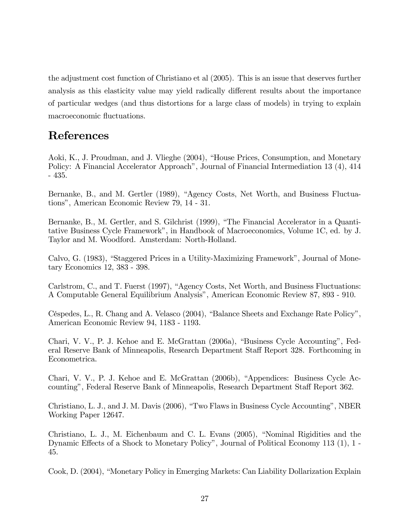the adjustment cost function of Christiano et al (2005). This is an issue that deserves further analysis as this elasticity value may yield radically different results about the importance of particular wedges (and thus distortions for a large class of models) in trying to explain macroeconomic fluctuations.

# References

Aoki, K., J. Proudman, and J. Vlieghe (2004), "House Prices, Consumption, and Monetary Policy: A Financial Accelerator Approach<sup>n</sup>, Journal of Financial Intermediation 13 (4), 414 - 435.

Bernanke, B., and M. Gertler (1989), "Agency Costs, Net Worth, and Business Fluctuationsî, American Economic Review 79, 14 - 31.

Bernanke, B., M. Gertler, and S. Gilchrist (1999), "The Financial Accelerator in a Quantitative Business Cycle Frameworkî, in Handbook of Macroeconomics, Volume 1C, ed. by J. Taylor and M. Woodford. Amsterdam: North-Holland.

Calvo, G. (1983), "Staggered Prices in a Utility-Maximizing Framework", Journal of Monetary Economics 12, 383 - 398.

Carlstrom, C., and T. Fuerst (1997), "Agency Costs, Net Worth, and Business Fluctuations: A Computable General Equilibrium Analysisî, American Economic Review 87, 893 - 910.

Céspedes, L., R. Chang and A. Velasco (2004), "Balance Sheets and Exchange Rate Policy", American Economic Review 94, 1183 - 1193.

Chari, V. V., P. J. Kehoe and E. McGrattan (2006a), "Business Cycle Accounting", Federal Reserve Bank of Minneapolis, Research Department Staff Report 328. Forthcoming in Econometrica.

Chari, V. V., P. J. Kehoe and E. McGrattan (2006b), "Appendices: Business Cycle Accounting", Federal Reserve Bank of Minneapolis, Research Department Staff Report 362.

Christiano, L. J., and J. M. Davis (2006), "Two Flaws in Business Cycle Accounting", NBER Working Paper 12647.

Christiano, L. J., M. Eichenbaum and C. L. Evans  $(2005)$ , "Nominal Rigidities and the Dynamic Effects of a Shock to Monetary Policy", Journal of Political Economy 113  $(1)$ , 1 -45.

Cook, D. (2004), "Monetary Policy in Emerging Markets: Can Liability Dollarization Explain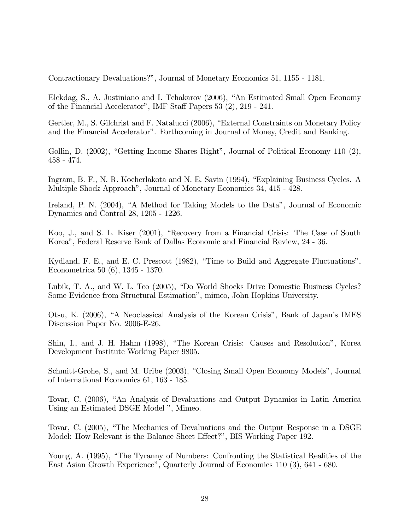Contractionary Devaluations?î, Journal of Monetary Economics 51, 1155 - 1181.

Elekdag, S., A. Justiniano and I. Tchakarov (2006), "An Estimated Small Open Economy of the Financial Accelerator", IMF Staff Papers 53 (2), 219 - 241.

Gertler, M., S. Gilchrist and F. Natalucci (2006), "External Constraints on Monetary Policy and the Financial Accelerator". Forthcoming in Journal of Money, Credit and Banking.

Gollin, D.  $(2002)$ , "Getting Income Shares Right", Journal of Political Economy 110  $(2)$ , 458 - 474.

Ingram, B. F., N. R. Kocherlakota and N. E. Savin (1994), "Explaining Business Cycles. A Multiple Shock Approach", Journal of Monetary Economics 34, 415 - 428.

Ireland, P. N. (2004), "A Method for Taking Models to the Data", Journal of Economic Dynamics and Control 28, 1205 - 1226.

Koo, J., and S. L. Kiser (2001), "Recovery from a Financial Crisis: The Case of South Koreaî, Federal Reserve Bank of Dallas Economic and Financial Review, 24 - 36.

Kydland, F. E., and E. C. Prescott  $(1982)$ , "Time to Build and Aggregate Fluctuations", Econometrica 50 (6), 1345 - 1370.

Lubik, T. A., and W. L. Teo (2005), "Do World Shocks Drive Domestic Business Cycles? Some Evidence from Structural Estimationî, mimeo, John Hopkins University.

Otsu, K. (2006), "A Neoclassical Analysis of the Korean Crisis", Bank of Japan's IMES Discussion Paper No. 2006-E-26.

Shin, I., and J. H. Hahm (1998), "The Korean Crisis: Causes and Resolution", Korea Development Institute Working Paper 9805.

Schmitt-Grohe, S., and M. Uribe (2003), "Closing Small Open Economy Models", Journal of International Economics 61, 163 - 185.

Tovar, C. (2006), "An Analysis of Devaluations and Output Dynamics in Latin America Using an Estimated DSGE Model  $"$ , Mimeo.

Tovar, C. (2005), "The Mechanics of Devaluations and the Output Response in a DSGE Model: How Relevant is the Balance Sheet Effect?", BIS Working Paper 192.

Young, A. (1995), "The Tyranny of Numbers: Confronting the Statistical Realities of the East Asian Growth Experienceî, Quarterly Journal of Economics 110 (3), 641 - 680.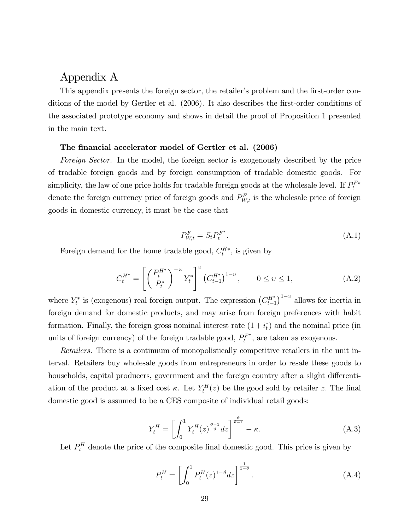# Appendix A

This appendix presents the foreign sector, the retailer's problem and the first-order conditions of the model by Gertler et al. (2006). It also describes the first-order conditions of the associated prototype economy and shows in detail the proof of Proposition 1 presented in the main text.

#### The financial accelerator model of Gertler et al. (2006)

Foreign Sector. In the model, the foreign sector is exogenously described by the price of tradable foreign goods and by foreign consumption of tradable domestic goods. For simplicity, the law of one price holds for tradable foreign goods at the wholesale level. If  $P_t^{F*}$ denote the foreign currency price of foreign goods and  $P_{W,t}^F$  is the wholesale price of foreign goods in domestic currency, it must be the case that

$$
P_{W,t}^F = S_t P_t^{F^*}.\tag{A.1}
$$

Foreign demand for the home tradable good,  $C_t^{H*}$ , is given by

$$
C_t^{H^*} = \left[ \left( \frac{P_t^{H^*}}{P_t^*} \right)^{-\varkappa} Y_t^* \right]^v \left( C_{t-1}^{H^*} \right)^{1-v}, \qquad 0 \le v \le 1,
$$
 (A.2)

where  $Y_t^*$  is (exogenous) real foreign output. The expression  $(C_{t-1}^{H^*})^{1-v}$  allows for inertia in foreign demand for domestic products, and may arise from foreign preferences with habit formation. Finally, the foreign gross nominal interest rate  $(1 + i<sub>t</sub><sup>*</sup>)$  and the nominal price (in units of foreign currency) of the foreign tradable good,  $P_t^{F^*}$ , are taken as exogenous.

Retailers. There is a continuum of monopolistically competitive retailers in the unit interval. Retailers buy wholesale goods from entrepreneurs in order to resale these goods to households, capital producers, government and the foreign country after a slight differentiation of the product at a fixed cost  $\kappa$ . Let  $Y_t^H(z)$  be the good sold by retailer z. The final domestic good is assumed to be a CES composite of individual retail goods:

$$
Y_t^H = \left[ \int_0^1 Y_t^H(z)^{\frac{\vartheta - 1}{\vartheta}} dz \right]^{\frac{\vartheta}{\vartheta - 1}} - \kappa.
$$
 (A.3)

Let  $P_t^H$  denote the price of the composite final domestic good. This price is given by

$$
P_t^H = \left[ \int_0^1 P_t^H(z)^{1-\vartheta} dz \right]^{\frac{1}{1-\vartheta}}.
$$
 (A.4)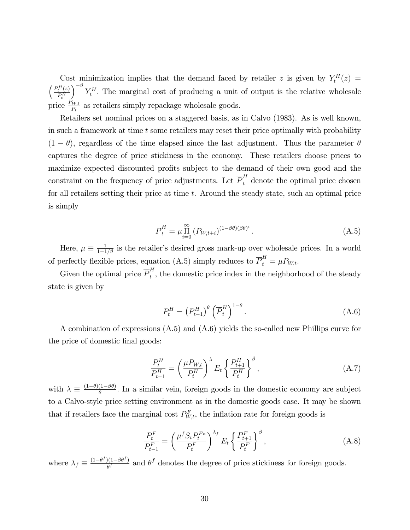Cost minimization implies that the demand faced by retailer z is given by  $Y_t^H(z)$  =  $\int \frac{P_t^H(z)}{f}$  $P_t^H$  $\int_{0}^{-\vartheta} Y_t^H$ . The marginal cost of producing a unit of output is the relative wholesale price  $\frac{P_{W,t}}{P_t}$  as retailers simply repackage wholesale goods.

Retailers set nominal prices on a staggered basis, as in Calvo (1983). As is well known, in such a framework at time  $t$  some retailers may reset their price optimally with probability  $(1 - \theta)$ , regardless of the time elapsed since the last adjustment. Thus the parameter  $\theta$ captures the degree of price stickiness in the economy. These retailers choose prices to maximize expected discounted profits subject to the demand of their own good and the constraint on the frequency of price adjustments. Let  $\overline{P}_t^H$  denote the optimal price chosen for all retailers setting their price at time t. Around the steady state, such an optimal price is simply

$$
\overline{P}_t^H = \mu \prod_{i=0}^{\infty} \left( P_{W,t+i} \right)^{(1-\beta\theta)(\beta\theta)^i} . \tag{A.5}
$$

Here,  $\mu \equiv \frac{1}{1-1/\vartheta}$  is the retailer's desired gross mark-up over wholesale prices. In a world of perfectly flexible prices, equation (A.5) simply reduces to  $\overline{P}_{t}^{H} = \mu P_{W,t}$ .

Given the optimal price  $\overline{P}_t^H$  $t<sub>t</sub>$ , the domestic price index in the neighborhood of the steady state is given by

$$
P_t^H = \left(P_{t-1}^H\right)^{\theta} \left(\overline{P}_t^H\right)^{1-\theta}.\tag{A.6}
$$

A combination of expressions (A.5) and (A.6) yields the so-called new Phillips curve for the price of domestic final goods:

$$
\frac{P_t^H}{P_{t-1}^H} = \left(\frac{\mu P_{W,t}}{P_t^H}\right)^{\lambda} E_t \left\{\frac{P_{t+1}^H}{P_t^H}\right\}^{\beta},\tag{A.7}
$$

with  $\lambda \equiv \frac{(1-\theta)(1-\beta\theta)}{\theta}$ . In a similar vein, foreign goods in the domestic economy are subject to a Calvo-style price setting environment as in the domestic goods case. It may be shown that if retailers face the marginal cost  $P_{W,t}^F$ , the inflation rate for foreign goods is

$$
\frac{P_t^F}{P_{t-1}^F} = \left(\frac{\mu^f S_t P_t^{F*}}{P_t^F}\right)^{\lambda_f} E_t \left\{\frac{P_{t+1}^F}{P_t^F}\right\}^{\beta},\tag{A.8}
$$

where  $\lambda_f \equiv \frac{(1-\theta^f)(1-\beta\theta^f)}{\theta^f}$  $\frac{\partial (1-\beta\theta^{J})}{\partial \theta^{J}}$  and  $\theta^{J}$  denotes the degree of price stickiness for foreign goods.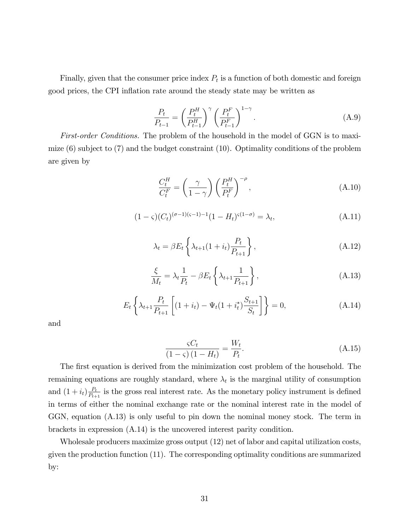Finally, given that the consumer price index  $P_t$  is a function of both domestic and foreign good prices, the CPI ináation rate around the steady state may be written as

$$
\frac{P_t}{P_{t-1}} = \left(\frac{P_t^H}{P_{t-1}^H}\right)^{\gamma} \left(\frac{P_t^F}{P_{t-1}^F}\right)^{1-\gamma}.
$$
\n(A.9)

First-order Conditions. The problem of the household in the model of GGN is to maximize (6) subject to (7) and the budget constraint (10). Optimality conditions of the problem are given by

$$
\frac{C_t^H}{C_t^F} = \left(\frac{\gamma}{1-\gamma}\right) \left(\frac{P_t^H}{P_t^F}\right)^{-\rho},\tag{A.10}
$$

$$
(1 - \varsigma)(C_t)^{(\sigma - 1)(\varsigma - 1)}(1 - H_t)^{\varsigma(1 - \sigma)} = \lambda_t,
$$
\n(A.11)

$$
\lambda_t = \beta E_t \left\{ \lambda_{t+1} (1 + i_t) \frac{P_t}{P_{t+1}} \right\},\tag{A.12}
$$

$$
\frac{\xi}{M_t} = \lambda_t \frac{1}{P_t} - \beta E_t \left\{ \lambda_{t+1} \frac{1}{P_{t+1}} \right\},\tag{A.13}
$$

$$
E_t\left\{\lambda_{t+1}\frac{P_t}{P_{t+1}}\left[(1+i_t)-\Psi_t(1+i_t^*)\frac{S_{t+1}}{S_t}\right]\right\}=0,
$$
\n(A.14)

and

$$
\frac{\varsigma C_t}{\left(1-\varsigma\right)\left(1-H_t\right)} = \frac{W_t}{P_t}.\tag{A.15}
$$

The first equation is derived from the minimization cost problem of the household. The remaining equations are roughly standard, where  $\lambda_t$  is the marginal utility of consumption and  $(1+i_t)\frac{P_t}{P_{t+1}}$  $\frac{P_t}{P_{t+1}}$  is the gross real interest rate. As the monetary policy instrument is defined in terms of either the nominal exchange rate or the nominal interest rate in the model of GGN, equation (A.13) is only useful to pin down the nominal money stock. The term in brackets in expression (A.14) is the uncovered interest parity condition.

Wholesale producers maximize gross output (12) net of labor and capital utilization costs, given the production function (11). The corresponding optimality conditions are summarized by: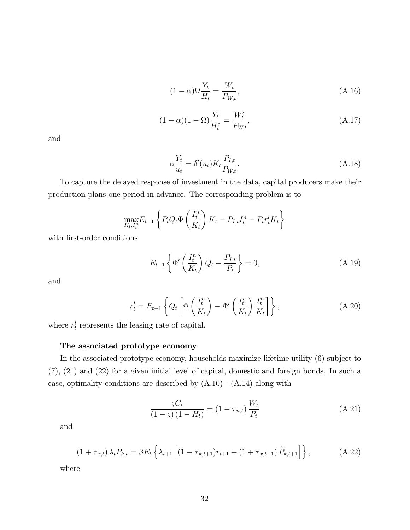$$
(1 - \alpha)\Omega \frac{Y_t}{H_t} = \frac{W_t}{P_{W,t}},
$$
\n(A.16)

$$
(1 - \alpha)(1 - \Omega)\frac{Y_t}{H_t^e} = \frac{W_t^e}{P_{W,t}},
$$
\n(A.17)

and

$$
\alpha \frac{Y_t}{u_t} = \delta'(u_t) K_t \frac{P_{I,t}}{P_{W,t}}.
$$
\n(A.18)

To capture the delayed response of investment in the data, capital producers make their production plans one period in advance. The corresponding problem is to

$$
\max_{K_t, I_t^n} E_{t-1} \left\{ P_t Q_t \Phi \left( \frac{I_t^n}{K_t} \right) K_t - P_{I,t} I_t^n - P_t r_t^l K_t \right\}
$$

with first-order conditions

$$
E_{t-1}\left\{\Phi'\left(\frac{I_t^n}{K_t}\right)Q_t - \frac{P_{I,t}}{P_t}\right\} = 0,\tag{A.19}
$$

and

$$
r_t^l = E_{t-1} \left\{ Q_t \left[ \Phi \left( \frac{I_t^n}{K_t} \right) - \Phi' \left( \frac{I_t^n}{K_t} \right) \frac{I_t^n}{K_t} \right] \right\},\tag{A.20}
$$

where  $r_t^l$  represents the leasing rate of capital.

### The associated prototype economy

In the associated prototype economy, households maximize lifetime utility (6) subject to (7), (21) and (22) for a given initial level of capital, domestic and foreign bonds. In such a case, optimality conditions are described by  $(A.10)$  -  $(A.14)$  along with

$$
\frac{\varsigma C_t}{\left(1-\varsigma\right)\left(1-H_t\right)} = \left(1-\tau_{n,t}\right)\frac{W_t}{P_t}
$$
\n(A.21)

and

$$
(1 + \tau_{x,t}) \lambda_t P_{k,t} = \beta E_t \left\{ \lambda_{t+1} \left[ (1 - \tau_{k,t+1}) r_{t+1} + (1 + \tau_{x,t+1}) \widetilde{P}_{k,t+1} \right] \right\}, \tag{A.22}
$$

where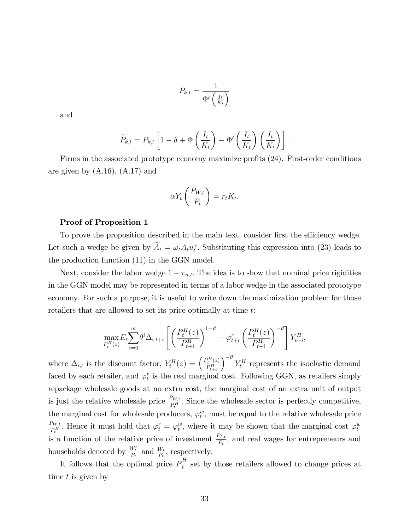$$
P_{k,t} = \frac{1}{\Phi'\left(\frac{I_t}{K_t}\right)}
$$

and

$$
\widetilde{P}_{k,t} = P_{k,t} \left[ 1 - \delta + \Phi\left(\frac{I_t}{K_t}\right) - \Phi'\left(\frac{I_t}{K_t}\right) \left(\frac{I_t}{K_t}\right) \right].
$$

Firms in the associated prototype economy maximize profits  $(24)$ . First-order conditions are given by (A.16), (A.17) and

$$
\alpha Y_t \left( \frac{P_{W,t}}{P_t} \right) = r_t K_t.
$$

#### Proof of Proposition 1

To prove the proposition described in the main text, consider first the efficiency wedge. Let such a wedge be given by  $\tilde{A}_t = \omega_t A_t u_t^{\alpha}$ . Substituting this expression into (23) leads to the production function (11) in the GGN model.

Next, consider the labor wedge  $1 - \tau_{n,t}$ . The idea is to show that nominal price rigidities in the GGN model may be represented in terms of a labor wedge in the associated prototype economy. For such a purpose, it is useful to write down the maximization problem for those retailers that are allowed to set its price optimally at time t:

$$
\max_{P_t^H(z)} E_t \sum_{i=0}^{\infty} \theta^i \Delta_{i,t+i} \left[ \left( \frac{P_t^H(z)}{P_{t+i}^H} \right)^{1-\vartheta} - \varphi_{t+i}^r \left( \frac{P_t^H(z)}{P_{t+i}^H} \right)^{-\vartheta} \right] Y_{t+i}^H,
$$

where  $\Delta_{i,t}$  is the discount factor,  $Y_t^H(z) = \left(\frac{P_t^H(z)}{P_t^H}\right)$  $P_{t+i}^H$  $\int_{0}^{-\vartheta} Y_t^H$  represents the isoelastic demand faced by each retailer, and  $\varphi_t^r$  is the real marginal cost. Following GGN, as retailers simply repackage wholesale goods at no extra cost, the marginal cost of an extra unit of output is just the relative wholesale price  $\frac{P_{W,t}}{P_t^H}$ . Since the wholesale sector is perfectly competitive, the marginal cost for wholesale producers,  $\varphi_t^w$ , must be equal to the relative wholesale price  $P_{W,t}$  $\frac{\rho_{W,t}}{P_t^H}$ . Hence it must hold that  $\varphi_t^r = \varphi_t^w$ , where it may be shown that the marginal cost  $\varphi_t^w$ is a function of the relative price of investment  $\frac{P_{I,t}}{P_t}$ , and real wages for entrepreneurs and households denoted by  $\frac{W_t^e}{P_t}$  and  $\frac{W_t}{P_t}$ , respectively.

It follows that the optimal price  $\overline{P}_t^H$  $t<sub>t</sub><sup>T</sup>$  set by those retailers allowed to change prices at time t is given by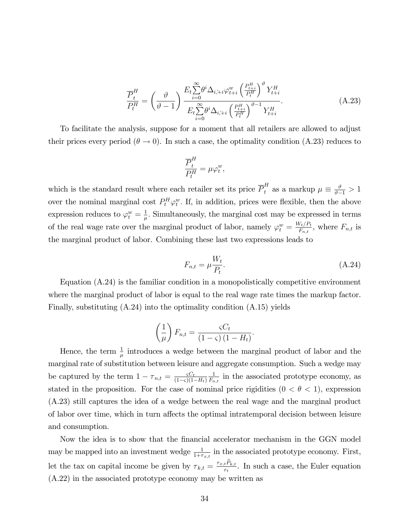$$
\frac{\overline{P}_{t}^{H}}{P_{t}^{H}} = \left(\frac{\vartheta}{\vartheta - 1}\right) \frac{E_{t} \sum_{i=0}^{\infty} \theta^{i} \Delta_{i, i+1} \varphi_{t+i}^{w} \left(\frac{P_{t+i}^{H}}{P_{t}^{H}}\right)^{\vartheta} Y_{t+i}^{H}}{E_{t} \sum_{i=0}^{\infty} \theta^{i} \Delta_{i, i+1} \left(\frac{P_{t+i}^{H}}{P_{t}^{H}}\right)^{\vartheta - 1} Y_{t+i}^{H}}.
$$
\n(A.23)

To facilitate the analysis, suppose for a moment that all retailers are allowed to adjust their prices every period ( $\theta \rightarrow 0$ ). In such a case, the optimality condition (A.23) reduces to

$$
\frac{\overline{P}_t^H}{P_t^H} = \mu \varphi_t^w,
$$

which is the standard result where each retailer set its price  $\overline{P}_t^H$  as a markup  $\mu \equiv \frac{\vartheta}{\vartheta - 1} > 1$ over the nominal marginal cost  $P_t^H \varphi_t^w$ . If, in addition, prices were flexible, then the above expression reduces to  $\varphi_t^w = \frac{1}{\mu}$  $\frac{1}{\mu}$ . Simultaneously, the marginal cost may be expressed in terms of the real wage rate over the marginal product of labor, namely  $\varphi_t^w = \frac{W_t/P_t}{F_{n,t}}$  $\frac{V_t/P_t}{F_{n,t}}$ , where  $F_{n,t}$  is the marginal product of labor. Combining these last two expressions leads to

$$
F_{n,t} = \mu \frac{W_t}{P_t}.
$$
\n(A.24)

:

Equation (A.24) is the familiar condition in a monopolistically competitive environment where the marginal product of labor is equal to the real wage rate times the markup factor. Finally, substituting  $(A.24)$  into the optimality condition  $(A.15)$  yields

$$
\left(\frac{1}{\mu}\right)F_{n,t} = \frac{\varsigma C_t}{\left(1-\varsigma\right)\left(1-H_t\right)}
$$

Hence, the term  $\frac{1}{\mu}$  introduces a wedge between the marginal product of labor and the marginal rate of substitution between leisure and aggregate consumption. Such a wedge may be captured by the term  $1 - \tau_{n,t} = \frac{\varsigma C_t}{(1-\varsigma)(1-\varsigma)}$  $(1-\varsigma)(1-H_t)$ 1  $\frac{1}{F_{n,t}}$  in the associated prototype economy, as stated in the proposition. For the case of nominal price rigidities  $(0 < \theta < 1)$ , expression (A.23) still captures the idea of a wedge between the real wage and the marginal product of labor over time, which in turn affects the optimal intratemporal decision between leisure and consumption.

Now the idea is to show that the Önancial accelerator mechanism in the GGN model may be mapped into an investment wedge  $\frac{1}{1+\tau_{x,t}}$  in the associated prototype economy. First, let the tax on capital income be given by  $\tau_{k,t} = \frac{\tau_{x,t} P_{k,t}}{r_t}$  $\frac{t F_{k,t}}{r_t}$ . In such a case, the Euler equation (A.22) in the associated prototype economy may be written as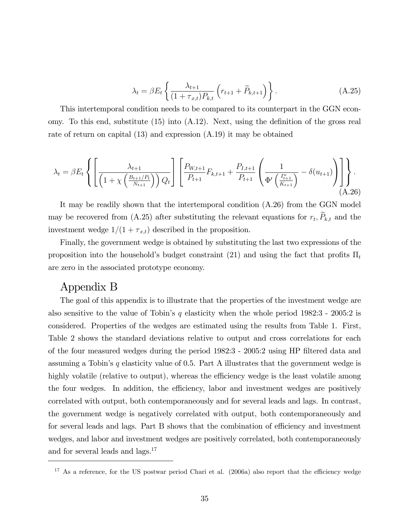$$
\lambda_t = \beta E_t \left\{ \frac{\lambda_{t+1}}{(1 + \tau_{x,t}) P_{k,t}} \left( r_{t+1} + \widetilde{P}_{k,t+1} \right) \right\}.
$$
\n(A.25)

This intertemporal condition needs to be compared to its counterpart in the GGN economy. To this end, substitute  $(15)$  into  $(A.12)$ . Next, using the definition of the gross real rate of return on capital (13) and expression (A.19) it may be obtained

$$
\lambda_{t} = \beta E_{t} \left\{ \left[ \frac{\lambda_{t+1}}{\left( 1 + \chi \left( \frac{B_{t+1}/P_{t}}{N_{t+1}} \right) \right) Q_{t}} \right] \left[ \frac{P_{W,t+1}}{P_{t+1}} F_{k,t+1} + \frac{P_{I,t+1}}{P_{t+1}} \left( \frac{1}{\Phi' \left( \frac{I_{t+1}^{n}}{K_{t+1}} \right)} - \delta(u_{t+1}) \right) \right] \right\}.
$$
\n(A.26)

It may be readily shown that the intertemporal condition (A.26) from the GGN model may be recovered from  $(A.25)$  after substituting the relevant equations for  $r_t$ ,  $P_{k,t}$  and the investment wedge  $1/(1 + \tau_{x,t})$  described in the proposition.

Finally, the government wedge is obtained by substituting the last two expressions of the proposition into the household's budget constraint (21) and using the fact that profits  $\Pi_t$ are zero in the associated prototype economy.

## Appendix B

The goal of this appendix is to illustrate that the properties of the investment wedge are also sensitive to the value of Tobin's q elasticity when the whole period  $1982:3$  -  $2005:2$  is considered. Properties of the wedges are estimated using the results from Table 1. First, Table 2 shows the standard deviations relative to output and cross correlations for each of the four measured wedges during the period 1982:3 - 2005:2 using HP Öltered data and assuming a Tobin's q elasticity value of 0.5. Part A illustrates that the government wedge is highly volatile (relative to output), whereas the efficiency wedge is the least volatile among the four wedges. In addition, the efficiency, labor and investment wedges are positively correlated with output, both contemporaneously and for several leads and lags. In contrast, the government wedge is negatively correlated with output, both contemporaneously and for several leads and lags. Part B shows that the combination of efficiency and investment wedges, and labor and investment wedges are positively correlated, both contemporaneously and for several leads and lags.<sup>17</sup>

 $17$  As a reference, for the US postwar period Chari et al. (2006a) also report that the efficiency wedge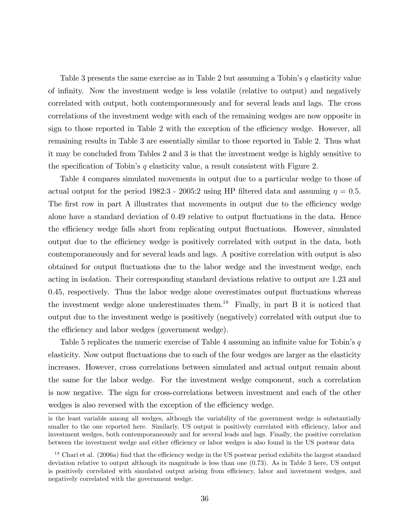Table 3 presents the same exercise as in Table 2 but assuming a Tobin's  $q$  elasticity value of inÖnity. Now the investment wedge is less volatile (relative to output) and negatively correlated with output, both contemporaneously and for several leads and lags. The cross correlations of the investment wedge with each of the remaining wedges are now opposite in sign to those reported in Table 2 with the exception of the efficiency wedge. However, all remaining results in Table 3 are essentially similar to those reported in Table 2. Thus what it may be concluded from Tables 2 and 3 is that the investment wedge is highly sensitive to the specification of Tobin's q elasticity value, a result consistent with Figure 2.

Table 4 compares simulated movements in output due to a particular wedge to those of actual output for the period 1982:3 - 2005:2 using HP filtered data and assuming  $\eta = 0.5$ . The first row in part A illustrates that movements in output due to the efficiency wedge alone have a standard deviation of 0.49 relative to output fluctuations in the data. Hence the efficiency wedge falls short from replicating output fluctuations. However, simulated output due to the efficiency wedge is positively correlated with output in the data, both contemporaneously and for several leads and lags. A positive correlation with output is also obtained for output fluctuations due to the labor wedge and the investment wedge, each acting in isolation. Their corresponding standard deviations relative to output are 1.23 and 0.45, respectively. Thus the labor wedge alone overestimates output fluctuations whereas the investment wedge alone underestimates them.<sup>18</sup> Finally, in part B it is noticed that output due to the investment wedge is positively (negatively) correlated with output due to the efficiency and labor wedges (government wedge).

Table 5 replicates the numeric exercise of Table 4 assuming an infinite value for Tobin's  $q$ elasticity. Now output fluctuations due to each of the four wedges are larger as the elasticity increases. However, cross correlations between simulated and actual output remain about the same for the labor wedge. For the investment wedge component, such a correlation is now negative. The sign for cross-correlations between investment and each of the other wedges is also reversed with the exception of the efficiency wedge.

is the least variable among all wedges, although the variability of the government wedge is substantially smaller to the one reported here. Similarly, US output is positively correlated with efficiency, labor and investment wedges, both contemporaneously and for several leads and lags. Finally, the positive correlation between the investment wedge and either efficiency or labor wedges is also found in the US postwar data

 $18$  Chari et al. (2006a) find that the efficiency wedge in the US postwar period exhibits the largest standard deviation relative to output although its magnitude is less than one (0.73). As in Table 3 here, US output is positively correlated with simulated output arising from efficiency, labor and investment wedges, and negatively correlated with the government wedge.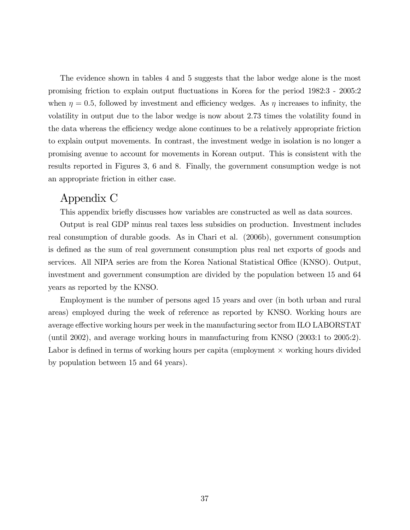The evidence shown in tables 4 and 5 suggests that the labor wedge alone is the most promising friction to explain output áuctuations in Korea for the period 1982:3 - 2005:2 when  $\eta = 0.5$ , followed by investment and efficiency wedges. As  $\eta$  increases to infinity, the volatility in output due to the labor wedge is now about 2.73 times the volatility found in the data whereas the efficiency wedge alone continues to be a relatively appropriate friction to explain output movements. In contrast, the investment wedge in isolation is no longer a promising avenue to account for movements in Korean output. This is consistent with the results reported in Figures 3, 6 and 8. Finally, the government consumption wedge is not an appropriate friction in either case.

## Appendix C

This appendix briefly discusses how variables are constructed as well as data sources.

Output is real GDP minus real taxes less subsidies on production. Investment includes real consumption of durable goods. As in Chari et al. (2006b), government consumption is defined as the sum of real government consumption plus real net exports of goods and services. All NIPA series are from the Korea National Statistical Office (KNSO). Output, investment and government consumption are divided by the population between 15 and 64 years as reported by the KNSO.

Employment is the number of persons aged 15 years and over (in both urban and rural areas) employed during the week of reference as reported by KNSO. Working hours are average effective working hours per week in the manufacturing sector from ILO LABORSTAT (until 2002), and average working hours in manufacturing from KNSO (2003:1 to 2005:2). Labor is defined in terms of working hours per capita (employment  $\times$  working hours divided by population between 15 and 64 years).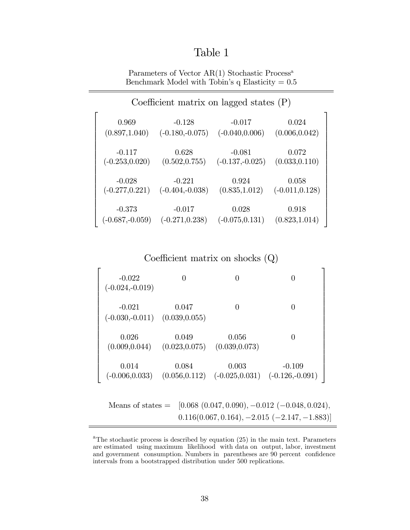# Table 1

Parameters of Vector AR(1) Stochastic Process<sup>a</sup> Benchmark Model with Tobin's q Elasticity =  $0.5$ 

| Coefficient matrix on lagged states $(P)$ |                   |                   |                   |  |  |  |  |  |  |
|-------------------------------------------|-------------------|-------------------|-------------------|--|--|--|--|--|--|
| 0.969                                     | $-0.128$          | $-0.017$          | 0.024             |  |  |  |  |  |  |
| (0.897, 1.040)                            | $(-0.180,-0.075)$ | $(-0.040, 0.006)$ | (0.006, 0.042)    |  |  |  |  |  |  |
| $-0.117$                                  | 0.628             | $-0.081$          | 0.072             |  |  |  |  |  |  |
| $(-0.253, 0.020)$                         | (0.502, 0.755)    | $(-0.137,-0.025)$ | (0.033, 0.110)    |  |  |  |  |  |  |
| $-0.028$                                  | $-0.221$          | 0.924             | 0.058             |  |  |  |  |  |  |
| $(-0.277, 0.221)$                         | $(-0.404,-0.038)$ | (0.835, 1.012)    | $(-0.011, 0.128)$ |  |  |  |  |  |  |
| $-0.373$                                  | $-0.017$          | 0.028             | 0.918             |  |  |  |  |  |  |
| $(-0.687,-0.059)$                         | $(-0.271, 0.238)$ | $(-0.075, 0.131)$ | (0.823, 1.014)    |  |  |  |  |  |  |

Coefficient matrix on shocks  $(Q)$ 

| $-0.022$<br>$(-0.024,-0.019)$                                                                                        | 0                       | $\theta$                                                                         | $\theta$ |  |  |  |  |  |
|----------------------------------------------------------------------------------------------------------------------|-------------------------|----------------------------------------------------------------------------------|----------|--|--|--|--|--|
| $-0.021$<br>$(-0.030,-0.011)$ $(0.039,0.055)$                                                                        | 0.047                   | $\Omega$                                                                         | $\theta$ |  |  |  |  |  |
| 0.026<br>(0.009, 0.044)                                                                                              | 0.049<br>(0.023, 0.075) | 0.056<br>(0.039, 0.073)                                                          | $\Omega$ |  |  |  |  |  |
| 0.014                                                                                                                | 0.084                   | 0.003<br>$(-0.006, 0.033)$ $(0.056, 0.112)$ $(-0.025, 0.031)$ $(-0.126, -0.091)$ | $-0.109$ |  |  |  |  |  |
| Means of states = $[0.068 (0.047, 0.090), -0.012 (-0.048, 0.024),$<br>$0.116(0.067, 0.164), -2.015(-2.147, -1.883)]$ |                         |                                                                                  |          |  |  |  |  |  |

<sup>&</sup>lt;sup>a</sup>The stochastic process is described by equation  $(25)$  in the main text. Parameters are estimated using maximum likelihood with data on output, labor, investment and government consumption. Numbers in parentheses are 90 percent confidence intervals from a bootstrapped distribution under 500 replications.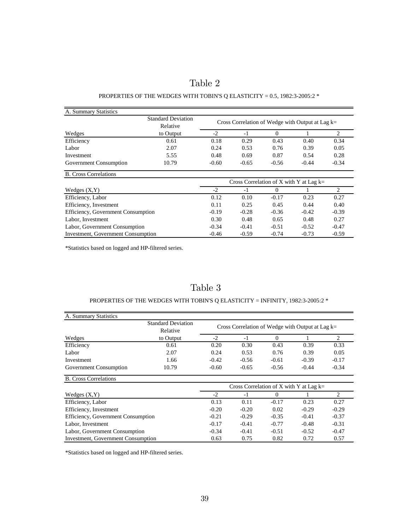| able |  |
|------|--|
|------|--|

#### PROPERTIES OF THE WEDGES WITH TOBIN'S Q ELASTICITY =  $0.5$ , 1982:3-2005:2  $*$

| A. Summary Statistics                     |                                       |                                           |                                                    |          |         |                               |
|-------------------------------------------|---------------------------------------|-------------------------------------------|----------------------------------------------------|----------|---------|-------------------------------|
|                                           | <b>Standard Deviation</b><br>Relative |                                           | Cross Correlation of Wedge with Output at Lag $k=$ |          |         |                               |
| Wedges                                    | to Output                             | $-2$                                      | $-1$                                               | $\Omega$ |         | 2                             |
| Efficiency                                | 0.61                                  | 0.18                                      | 0.29                                               | 0.43     | 0.40    | 0.34                          |
| Labor                                     | 2.07                                  | 0.24                                      | 0.53                                               | 0.76     | 0.39    | 0.05                          |
| Investment                                | 5.55                                  | 0.48                                      | 0.69                                               | 0.87     | 0.54    | 0.28                          |
| Government Consumption                    | 10.79                                 | $-0.60$                                   | $-0.65$                                            | $-0.56$  | $-0.44$ | $-0.34$                       |
| <b>B.</b> Cross Correlations              |                                       |                                           |                                                    |          |         |                               |
|                                           |                                       | Cross Correlation of X with Y at Lag $k=$ |                                                    |          |         |                               |
| Wedges $(X, Y)$                           |                                       | $-2$                                      | $-1$                                               | $\Omega$ |         | $\mathfrak{D}_{\mathfrak{p}}$ |
| Efficiency, Labor                         |                                       | 0.12                                      | 0.10                                               | $-0.17$  | 0.23    | 0.27                          |
| Efficiency, Investment                    |                                       | 0.11                                      | 0.25                                               | 0.45     | 0.44    | 0.40                          |
| Efficiency, Government Consumption        |                                       | $-0.19$                                   | $-0.28$                                            | $-0.36$  | $-0.42$ | $-0.39$                       |
| Labor, Investment                         |                                       | 0.30                                      | 0.48                                               | 0.65     | 0.48    | 0.27                          |
| Labor, Government Consumption             |                                       | $-0.34$                                   | $-0.41$                                            | $-0.51$  | $-0.52$ | $-0.47$                       |
| <b>Investment, Government Consumption</b> |                                       | $-0.46$                                   | $-0.59$                                            | $-0.74$  | $-0.73$ | $-0.59$                       |

\*Statistics based on logged and HP-filtered series.

## Table 3

### PROPERTIES OF THE WEDGES WITH TOBIN'S Q ELASTICITY = INFINITY, 1982:3-2005:2  $^\ast$

| A. Summary Statistics              |                                           |                                                    |         |          |         |                |
|------------------------------------|-------------------------------------------|----------------------------------------------------|---------|----------|---------|----------------|
|                                    | <b>Standard Deviation</b><br>Relative     | Cross Correlation of Wedge with Output at Lag $k=$ |         |          |         |                |
| Wedges                             | to Output                                 | $-2$                                               | $-1$    | $\Omega$ |         | $\mathfrak{D}$ |
| Efficiency                         | 0.61                                      | 0.20                                               | 0.30    | 0.43     | 0.39    | 0.33           |
| Labor                              | 2.07                                      | 0.24                                               | 0.53    | 0.76     | 0.39    | 0.05           |
| Investment                         | 1.66                                      | $-0.42$                                            | $-0.56$ | $-0.61$  | $-0.39$ | $-0.17$        |
| Government Consumption             | 10.79                                     | $-0.60$                                            | $-0.65$ | $-0.56$  | $-0.44$ | $-0.34$        |
| <b>B.</b> Cross Correlations       |                                           |                                                    |         |          |         |                |
|                                    |                                           | Cross Correlation of X with Y at Lag $k=$          |         |          |         |                |
| Wedges $(X, Y)$                    |                                           | $-2$                                               | $-1$    | $\Omega$ |         | $\mathfrak{D}$ |
| Efficiency, Labor                  |                                           | 0.13                                               | 0.11    | $-0.17$  | 0.23    | 0.27           |
| Efficiency, Investment             |                                           | $-0.20$                                            | $-0.20$ | 0.02     | $-0.29$ | $-0.29$        |
| Efficiency, Government Consumption |                                           | $-0.21$                                            | $-0.29$ | $-0.35$  | $-0.41$ | $-0.37$        |
| Labor, Investment                  |                                           | $-0.17$                                            | $-0.41$ | $-0.77$  | $-0.48$ | $-0.31$        |
| Labor, Government Consumption      |                                           | $-0.34$                                            | $-0.41$ | $-0.51$  | $-0.52$ | $-0.47$        |
|                                    | <b>Investment, Government Consumption</b> |                                                    | 0.75    | 0.82     | 0.72    | 0.57           |

\*Statistics based on logged and HP-filtered series.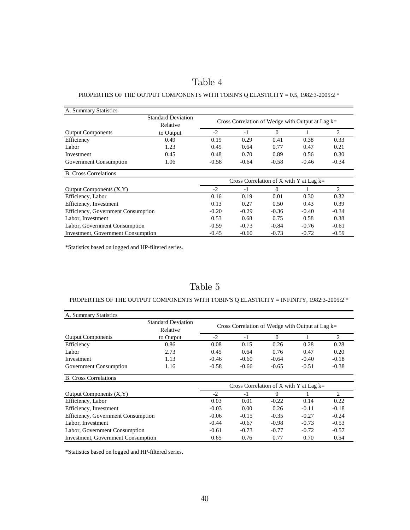# Table 4

#### PROPERTIES OF THE OUTPUT COMPONENTS WITH TOBIN'S Q ELASTICITY = 0.5, 1982:3-2005:2  $^{\ast}$

| A. Summary Statistics                                                                 |                                       |                                                    |         |          |         |         |
|---------------------------------------------------------------------------------------|---------------------------------------|----------------------------------------------------|---------|----------|---------|---------|
|                                                                                       | <b>Standard Deviation</b><br>Relative | Cross Correlation of Wedge with Output at Lag $k=$ |         |          |         |         |
| <b>Output Components</b>                                                              | to Output                             | $-2$                                               | $-1$    | $\Omega$ |         | 2       |
| Efficiency                                                                            | 0.49                                  | 0.19                                               | 0.29    | 0.41     | 0.38    | 0.33    |
| Labor                                                                                 | 1.23                                  | 0.45                                               | 0.64    | 0.77     | 0.47    | 0.21    |
| Investment                                                                            | 0.45                                  | 0.48                                               | 0.70    | 0.89     | 0.56    | 0.30    |
| Government Consumption                                                                | 1.06                                  | $-0.58$                                            | $-0.64$ | $-0.58$  | $-0.46$ | $-0.34$ |
| <b>B.</b> Cross Correlations                                                          |                                       |                                                    |         |          |         |         |
|                                                                                       |                                       | Cross Correlation of X with Y at Lag $k=$          |         |          |         |         |
| Output Components $(X, Y)$                                                            |                                       | $-2$                                               | $-1$    | $\Omega$ |         | 2       |
| Efficiency, Labor                                                                     |                                       | 0.16                                               | 0.19    | 0.01     | 0.30    | 0.32    |
| Efficiency, Investment                                                                |                                       | 0.13                                               | 0.27    | 0.50     | 0.43    | 0.39    |
| Efficiency, Government Consumption                                                    |                                       | $-0.20$                                            | $-0.29$ | $-0.36$  | $-0.40$ | $-0.34$ |
| Labor, Investment                                                                     |                                       | 0.53                                               | 0.68    | 0.75     | 0.58    | 0.38    |
| Labor, Government Consumption                                                         |                                       | $-0.59$                                            | $-0.73$ | $-0.84$  | $-0.76$ | $-0.61$ |
| <b>Investment, Government Consumption</b><br>$-0.45$<br>$-0.60$<br>$-0.73$<br>$-0.72$ |                                       |                                                    | $-0.59$ |          |         |         |

\*Statistics based on logged and HP-filtered series.

## Table 5

#### PROPERTIES OF THE OUTPUT COMPONENTS WITH TOBIN'S Q ELASTICITY = INFINITY, 1982:3-2005:2  $^{\ast}$

| A. Summary Statistics                     |                                       |                                                    |         |          |         |                |
|-------------------------------------------|---------------------------------------|----------------------------------------------------|---------|----------|---------|----------------|
|                                           | <b>Standard Deviation</b><br>Relative | Cross Correlation of Wedge with Output at Lag $k=$ |         |          |         |                |
| <b>Output Components</b>                  | to Output                             | $-2$                                               | $-1$    | $\Omega$ |         | $\overline{2}$ |
| Efficiency                                | 0.86                                  | 0.08                                               | 0.15    | 0.26     | 0.28    | 0.28           |
| Labor                                     | 2.73                                  | 0.45                                               | 0.64    | 0.76     | 0.47    | 0.20           |
| Investment                                | 1.13                                  | $-0.46$                                            | $-0.60$ | $-0.64$  | $-0.40$ | $-0.18$        |
| Government Consumption                    | 1.16                                  | $-0.58$                                            | $-0.66$ | $-0.65$  | $-0.51$ | $-0.38$        |
| <b>B.</b> Cross Correlations              |                                       |                                                    |         |          |         |                |
|                                           |                                       | Cross Correlation of X with Y at Lag $k=$          |         |          |         |                |
| Output Components $(X, Y)$                |                                       | $-2$                                               | $-1$    | $\Omega$ |         | 2              |
| Efficiency, Labor                         |                                       | 0.03                                               | 0.01    | $-0.22$  | 0.14    | 0.22           |
| Efficiency, Investment                    |                                       | $-0.03$                                            | 0.00    | 0.26     | $-0.11$ | $-0.18$        |
| Efficiency, Government Consumption        |                                       | $-0.06$                                            | $-0.15$ | $-0.35$  | $-0.27$ | $-0.24$        |
| Labor, Investment                         |                                       | $-0.44$                                            | $-0.67$ | $-0.98$  | $-0.73$ | $-0.53$        |
| Labor, Government Consumption             |                                       | $-0.61$                                            | $-0.73$ | $-0.77$  | $-0.72$ | $-0.57$        |
| <b>Investment, Government Consumption</b> |                                       | 0.65                                               | 0.76    | 0.77     | 0.70    | 0.54           |

\*Statistics based on logged and HP-filtered series.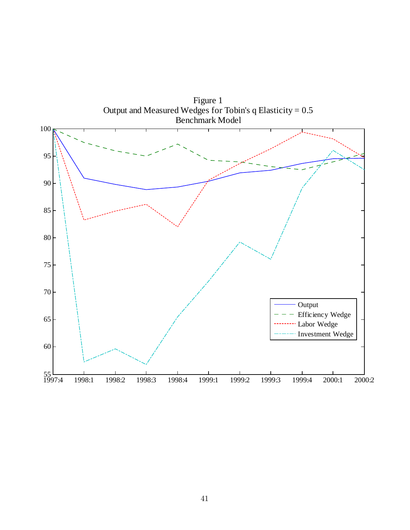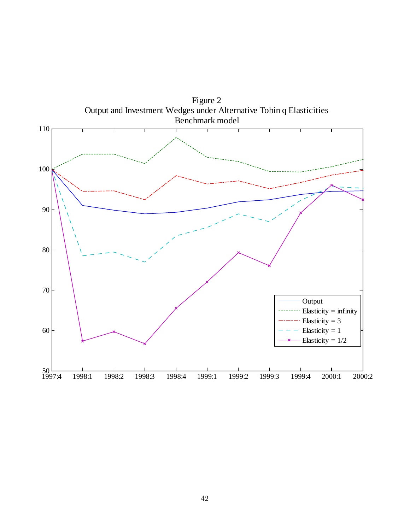

Figure 2 Output and Investment Wedges under Alternative Tobin q Elasticities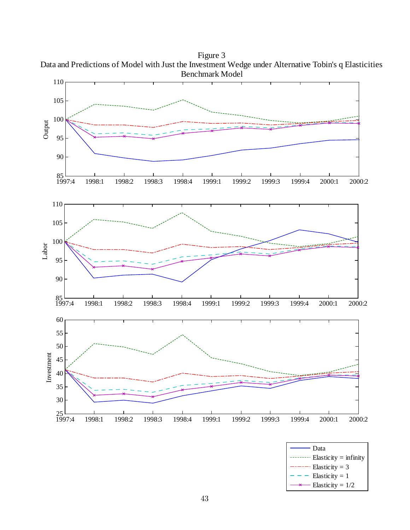

Figure 3 Data and Predictions of Model with Just the Investment Wedge under Alternative Tobin's q Elasticities

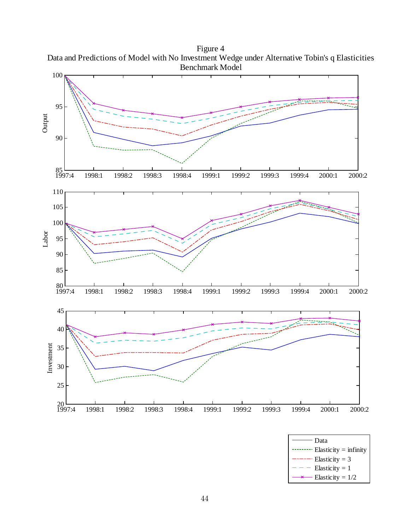Figure 4 Data and Predictions of Model with No Investment Wedge under Alternative Tobin's q Elasticities Benchmark Model



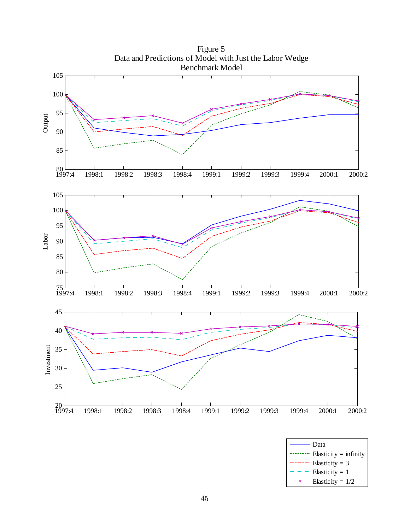

Elasticity = 3 Elasticity  $= 1$ Elasticity =  $1/2$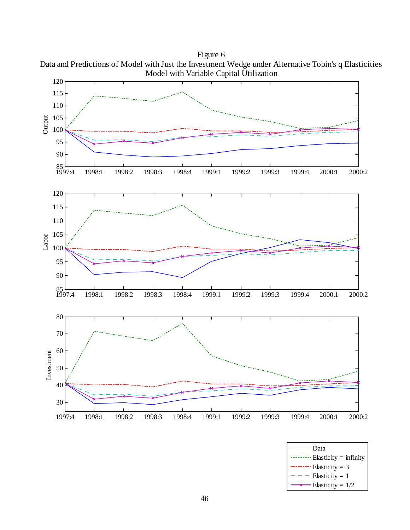

Figure 6 Data and Predictions of Model with Just the Investment Wedge under Alternative Tobin's q Elasticities

Elasticity =  $1/2$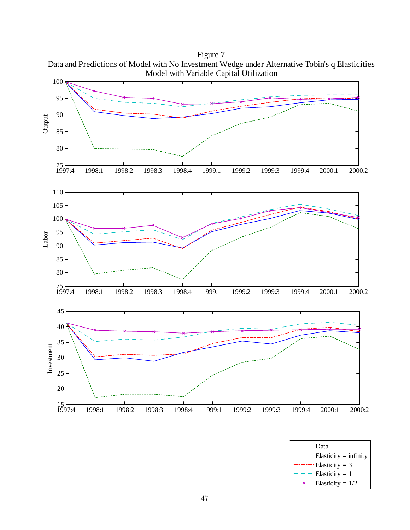Model with Variable Capital Utilization 100 95 90 Output 85 80  $75$ <br>1997:4 1997:4 1998:1 1998:2 1998:3 1998:4 1999:1 1999:2 1999:3 1999:4 2000:1 2000:2 110 105 100 95 Labor 90 85 80  $\frac{75}{1997:4}$ 1997:4 1998:1 1998:2 1998:3 1998:4 1999:1 1999:2 1999:3 1999:4 2000:1 2000:2 45 40 35 Investment Investment 30 25 20  $\frac{15}{1997:4}$ 1997:4 1998:1 1998:2 1998:3 1998:4 1999:1 1999:2 1999:3 1999:4 2000:1 2000:2



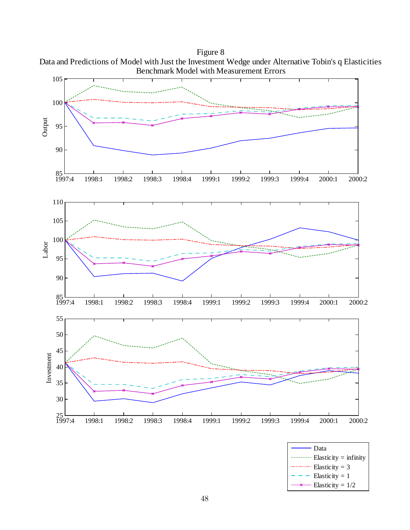

Figure 8 Data and Predictions of Model with Just the Investment Wedge under Alternative Tobin's q Elasticities